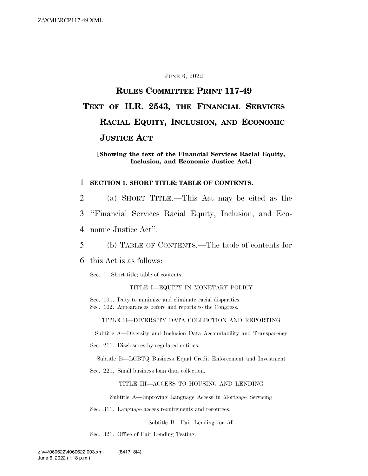#### JUNE 6, 2022

# **RULES COMMITTEE PRINT 117-49 TEXT OF H.R. 2543, THE FINANCIAL SERVICES RACIAL EQUITY, INCLUSION, AND ECONOMIC JUSTICE ACT**

#### **[Showing the text of the Financial Services Racial Equity, Inclusion, and Economic Justice Act.]**

#### 1 **SECTION 1. SHORT TITLE; TABLE OF CONTENTS.**

- 2 (a) SHORT TITLE.—This Act may be cited as the 3 ''Financial Services Racial Equity, Inclusion, and Eco-
- 4 nomic Justice Act''.
- 5 (b) TABLE OF CONTENTS.—The table of contents for
- 6 this Act is as follows:

Sec. 1. Short title; table of contents.

#### TITLE I—EQUITY IN MONETARY POLICY

Sec. 101. Duty to minimize and eliminate racial disparities.

Sec. 102. Appearances before and reports to the Congress.

TITLE II—DIVERSITY DATA COLLECTION AND REPORTING

Subtitle A—Diversity and Inclusion Data Accountability and Transparency

Sec. 211. Disclosures by regulated entities.

Subtitle B—LGBTQ Business Equal Credit Enforcement and Investment

Sec. 221. Small business loan data collection.

#### TITLE III—ACCESS TO HOUSING AND LENDING

Subtitle A—Improving Language Access in Mortgage Servicing

Sec. 311. Language access requirements and resources.

Subtitle B—Fair Lending for All

Sec. 321. Office of Fair Lending Testing.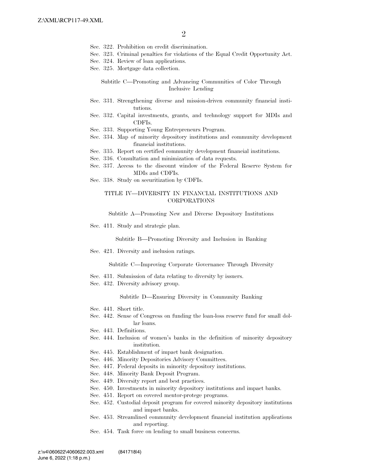- Sec. 322. Prohibition on credit discrimination.
- Sec. 323. Criminal penalties for violations of the Equal Credit Opportunity Act.
- Sec. 324. Review of loan applications.
- Sec. 325. Mortgage data collection.

#### Subtitle C—Promoting and Advancing Communities of Color Through Inclusive Lending

- Sec. 331. Strengthening diverse and mission-driven community financial institutions.
- Sec. 332. Capital investments, grants, and technology support for MDIs and CDFIs.
- Sec. 333. Supporting Young Entrepreneurs Program.
- Sec. 334. Map of minority depository institutions and community development financial institutions.
- Sec. 335. Report on certified community development financial institutions.
- Sec. 336. Consultation and minimization of data requests.
- Sec. 337. Access to the discount window of the Federal Reserve System for MDIs and CDFIs.
- Sec. 338. Study on securitization by CDFIs.

#### TITLE IV—DIVERSITY IN FINANCIAL INSTITUTIONS AND CORPORATIONS

Subtitle A—Promoting New and Diverse Depository Institutions

Sec. 411. Study and strategic plan.

Subtitle B—Promoting Diversity and Inclusion in Banking

Sec. 421. Diversity and inclusion ratings.

Subtitle C—Improving Corporate Governance Through Diversity

- Sec. 431. Submission of data relating to diversity by issuers.
- Sec. 432. Diversity advisory group.

Subtitle D—Ensuring Diversity in Community Banking

- Sec. 441. Short title.
- Sec. 442. Sense of Congress on funding the loan-loss reserve fund for small dollar loans.
- Sec. 443. Definitions.
- Sec. 444. Inclusion of women's banks in the definition of minority depository institution.
- Sec. 445. Establishment of impact bank designation.
- Sec. 446. Minority Depositories Advisory Committees.
- Sec. 447. Federal deposits in minority depository institutions.
- Sec. 448. Minority Bank Deposit Program.
- Sec. 449. Diversity report and best practices.
- Sec. 450. Investments in minority depository institutions and impact banks.
- Sec. 451. Report on covered mentor-protege programs.
- Sec. 452. Custodial deposit program for covered minority depository institutions and impact banks.
- Sec. 453. Streamlined community development financial institution applications and reporting.
- Sec. 454. Task force on lending to small business concerns.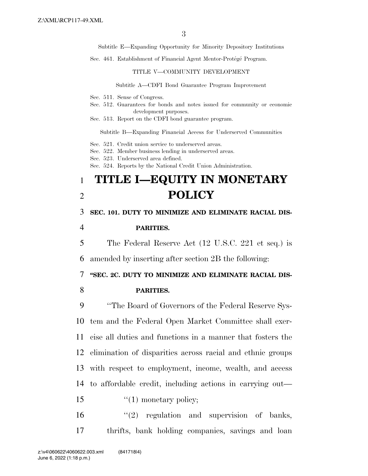Subtitle E—Expanding Opportunity for Minority Depository Institutions

Sec. 461. Establishment of Financial Agent Mentor-Protégé Program.

TITLE V—COMMUNITY DEVELOPMENT

Subtitle A—CDFI Bond Guarantee Program Improvement

- Sec. 511. Sense of Congress.
- Sec. 512. Guarantees for bonds and notes issued for community or economic development purposes.
- Sec. 513. Report on the CDFI bond guarantee program.

Subtitle B—Expanding Financial Access for Underserved Communities

- Sec. 521. Credit union service to underserved areas.
- Sec. 522. Member business lending in underserved areas.
- Sec. 523. Underserved area defined.

Sec. 524. Reports by the National Credit Union Administration.

# 1 **TITLE I—EQUITY IN MONETARY**  2 **POLICY**

### 3 **SEC. 101. DUTY TO MINIMIZE AND ELIMINATE RACIAL DIS-**

#### 4 **PARITIES.**

5 The Federal Reserve Act (12 U.S.C. 221 et seq.) is

6 amended by inserting after section 2B the following:

7 **''SEC. 2C. DUTY TO MINIMIZE AND ELIMINATE RACIAL DIS-**

#### 8 **PARITIES.**

 ''The Board of Governors of the Federal Reserve Sys- tem and the Federal Open Market Committee shall exer- cise all duties and functions in a manner that fosters the elimination of disparities across racial and ethnic groups with respect to employment, income, wealth, and access to affordable credit, including actions in carrying out— 15 "(1) monetary policy;

16 ''(2) regulation and supervision of banks, 17 thrifts, bank holding companies, savings and loan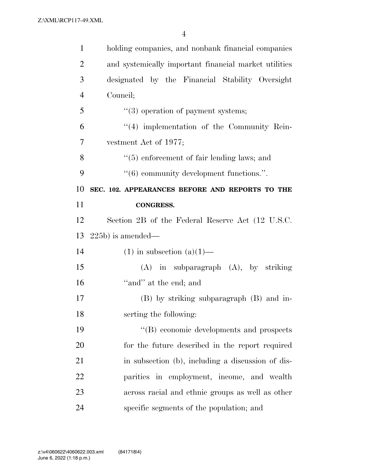| $\mathbf{1}$                                             | holding companies, and nonbank financial companies      |
|----------------------------------------------------------|---------------------------------------------------------|
| $\overline{2}$                                           | and systemically important financial market utilities   |
| 3                                                        | designated by the Financial Stability Oversight         |
| $\overline{4}$                                           | Council;                                                |
| 5                                                        | $\lq(3)$ operation of payment systems;                  |
| 6                                                        | $(4)$ implementation of the Community Rein-             |
| $\overline{7}$                                           | vestment Act of 1977;                                   |
| 8                                                        | $\cdot$ (5) enforcement of fair lending laws; and       |
| 9                                                        | $\cdot\cdot\cdot(6)$ community development functions.". |
| 10                                                       | SEC. 102. APPEARANCES BEFORE AND REPORTS TO THE         |
| 11                                                       | <b>CONGRESS.</b>                                        |
|                                                          |                                                         |
|                                                          | Section 2B of the Federal Reserve Act (12 U.S.C.        |
|                                                          | $(225b)$ is amended—                                    |
| 14                                                       | $(1)$ in subsection $(a)(1)$ —                          |
|                                                          | $(A)$ in subparagraph $(A)$ , by striking               |
|                                                          | "and" at the end; and                                   |
|                                                          | (B) by striking subparagraph (B) and in-                |
|                                                          | serting the following:                                  |
|                                                          | "(B) economic developments and prospects                |
|                                                          | for the future described in the report required         |
|                                                          | in subsection (b), including a discussion of dis-       |
| 12<br>13<br>15<br>16<br>17<br>18<br>19<br>20<br>21<br>22 | parities in employment, income, and wealth              |
| 23                                                       | across racial and ethnic groups as well as other        |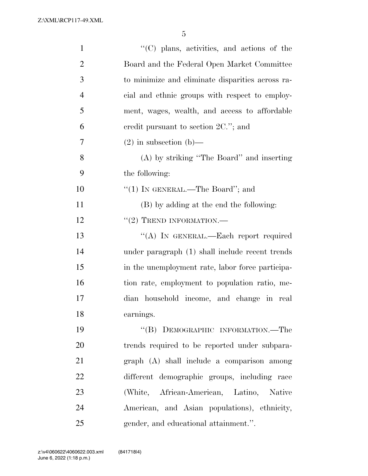| $\mathbf{1}$   | "(C) plans, activities, and actions of the       |
|----------------|--------------------------------------------------|
| $\overline{2}$ | Board and the Federal Open Market Committee      |
| 3              | to minimize and eliminate disparities across ra- |
| $\overline{4}$ | cial and ethnic groups with respect to employ-   |
| 5              | ment, wages, wealth, and access to affordable    |
| 6              | credit pursuant to section $2C$ ."; and          |
| 7              | $(2)$ in subsection (b)—                         |
| 8              | (A) by striking "The Board" and inserting        |
| 9              | the following:                                   |
| 10             | "(1) IN GENERAL.—The Board"; and                 |
| 11             | (B) by adding at the end the following:          |
| 12             | $"(2)$ TREND INFORMATION.—                       |
| 13             | "(A) IN GENERAL.—Each report required            |
| 14             | under paragraph (1) shall include recent trends  |
| 15             | in the unemployment rate, labor force participa- |
| 16             | tion rate, employment to population ratio, me-   |
| 17             | dian household income, and change in real        |
| 18             | earnings.                                        |
| 19             | "(B) DEMOGRAPHIC INFORMATION.—The                |
| 20             | trends required to be reported under subpara-    |
| 21             | graph (A) shall include a comparison among       |
| 22             | different demographic groups, including race     |
| 23             | (White, African-American, Latino, Native         |
| 24             | American, and Asian populations), ethnicity,     |
| 25             | gender, and educational attainment.".            |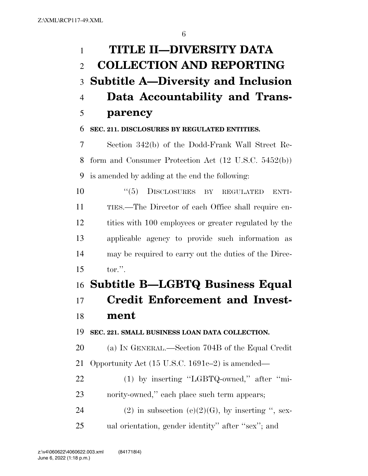# **TITLE II—DIVERSITY DATA COLLECTION AND REPORTING Subtitle A—Diversity and Inclusion Data Accountability and Trans-parency**

## **SEC. 211. DISCLOSURES BY REGULATED ENTITIES.**

 Section 342(b) of the Dodd-Frank Wall Street Re- form and Consumer Protection Act (12 U.S.C. 5452(b)) is amended by adding at the end the following:

 $(5)$  DISCLOSURES BY REGULATED ENTI- TIES.—The Director of each Office shall require en- tities with 100 employees or greater regulated by the applicable agency to provide such information as may be required to carry out the duties of the Direc-tor.''.

# **Subtitle B—LGBTQ Business Equal Credit Enforcement and Invest-**

## **ment**

**SEC. 221. SMALL BUSINESS LOAN DATA COLLECTION.** 

 (a) IN GENERAL.—Section 704B of the Equal Credit Opportunity Act (15 U.S.C. 1691c–2) is amended—

22 (1) by inserting "LGBTQ-owned," after "mi-23 nority-owned," each place such term appears;

24 (2) in subsection (e)(2)(G), by inserting ", sex-ual orientation, gender identity'' after ''sex''; and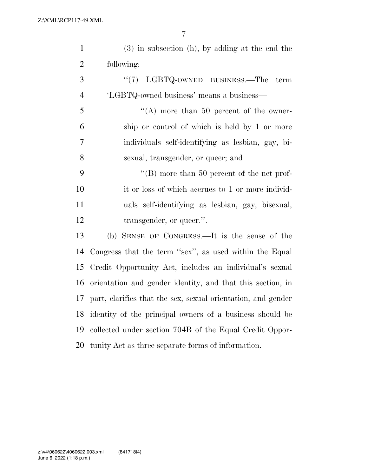| $\mathbf{1}$   | $(3)$ in subsection (h), by adding at the end the            |
|----------------|--------------------------------------------------------------|
| $\overline{2}$ | following:                                                   |
| 3              | LGBTQ-OWNED BUSINESS.—The<br>(5(7))<br>term                  |
| $\overline{4}$ | 'LGBTQ-owned business' means a business—                     |
| 5              | "(A) more than 50 percent of the owner-                      |
| 6              | ship or control of which is held by 1 or more                |
| $\overline{7}$ | individuals self-identifying as lesbian, gay, bi-            |
| 8              | sexual, transgender, or queer; and                           |
| 9              | "(B) more than 50 percent of the net prof-                   |
| 10             | it or loss of which accrues to 1 or more individ-            |
| 11             | uals self-identifying as lesbian, gay, bisexual,             |
| 12             | transgender, or queer.".                                     |
| 13             | (b) SENSE OF CONGRESS.—It is the sense of the                |
| 14             | Congress that the term "sex", as used within the Equal       |
| 15             | Credit Opportunity Act, includes an individual's sexual      |
| 16             | orientation and gender identity, and that this section, in   |
| 17             | part, clarifies that the sex, sexual orientation, and gender |
| 18             | identity of the principal owners of a business should be     |
| 19             | collected under section 704B of the Equal Credit Oppor-      |
| 20             | tunity Act as three separate forms of information.           |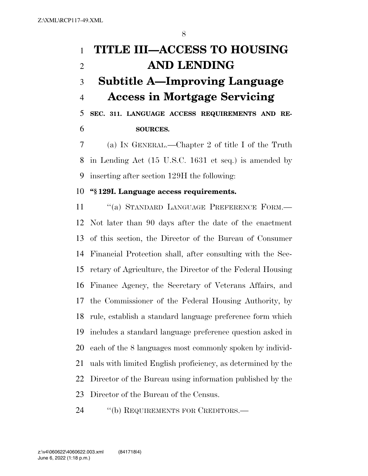# **TITLE III—ACCESS TO HOUSING AND LENDING Subtitle A—Improving Language Access in Mortgage Servicing SEC. 311. LANGUAGE ACCESS REQUIREMENTS AND RE-SOURCES.**

 (a) IN GENERAL.—Chapter 2 of title I of the Truth in Lending Act (15 U.S.C. 1631 et seq.) is amended by inserting after section 129H the following:

### **''§ 129I. Language access requirements.**

11 "(a) STANDARD LANGUAGE PREFERENCE FORM.— Not later than 90 days after the date of the enactment of this section, the Director of the Bureau of Consumer Financial Protection shall, after consulting with the Sec- retary of Agriculture, the Director of the Federal Housing Finance Agency, the Secretary of Veterans Affairs, and the Commissioner of the Federal Housing Authority, by rule, establish a standard language preference form which includes a standard language preference question asked in each of the 8 languages most commonly spoken by individ- uals with limited English proficiency, as determined by the Director of the Bureau using information published by the Director of the Bureau of the Census.

24 "(b) REQUIREMENTS FOR CREDITORS.—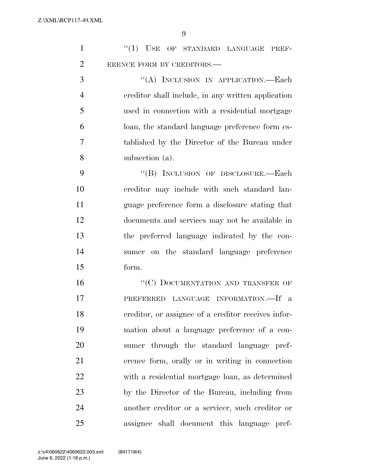| $\mathbf{1}$   | "(1) USE OF STANDARD LANGUAGE PREF-                 |
|----------------|-----------------------------------------------------|
| $\overline{2}$ | ERENCE FORM BY CREDITORS.-                          |
| 3              | "(A) INCLUSION IN APPLICATION.-Each                 |
| $\overline{4}$ | creditor shall include, in any written application  |
| 5              | used in connection with a residential mortgage      |
| 6              | loan, the standard language preference form es-     |
| $\overline{7}$ | tablished by the Director of the Bureau under       |
| 8              | subsection (a).                                     |
| 9              | "(B) INCLUSION OF DISCLOSURE.—Each                  |
| 10             | creditor may include with such standard lan-        |
| 11             | guage preference form a disclosure stating that     |
| 12             | documents and services may not be available in      |
| 13             | the preferred language indicated by the con-        |
| 14             | sumer on the standard language preference           |
| 15             | form.                                               |
| 16             | "(C) DOCUMENTATION AND TRANSFER OF                  |
| 17             | PREFERRED LANGUAGE INFORMATION.-If a                |
| 18             | creditor, or assignee of a creditor receives infor- |
| 19             | mation about a language preference of a con-        |
| 20             | sumer through the standard language pref-           |
| 21             | erence form, orally or in writing in connection     |
| 22             | with a residential mortgage loan, as determined     |
| 23             | by the Director of the Bureau, including from       |
| 24             | another creditor or a servicer, such creditor or    |
| 25             | assignee shall document this language pref-         |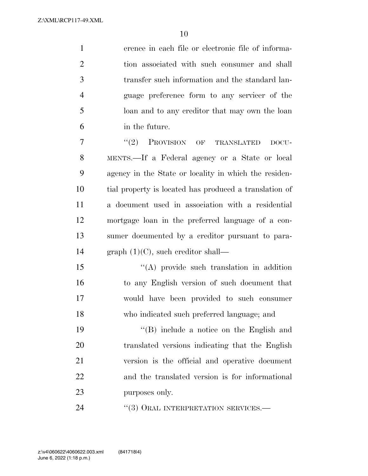erence in each file or electronic file of informa- tion associated with such consumer and shall transfer such information and the standard lan- guage preference form to any servicer of the loan and to any creditor that may own the loan in the future.

7 "(2) PROVISION OF TRANSLATED DOCU- MENTS.—If a Federal agency or a State or local agency in the State or locality in which the residen- tial property is located has produced a translation of a document used in association with a residential mortgage loan in the preferred language of a con- sumer documented by a creditor pursuant to para-14 graph  $(1)(C)$ , such creditor shall—

15 "(A) provide such translation in addition to any English version of such document that would have been provided to such consumer who indicated such preferred language; and

 ''(B) include a notice on the English and translated versions indicating that the English version is the official and operative document and the translated version is for informational purposes only.

24 "(3) ORAL INTERPRETATION SERVICES.—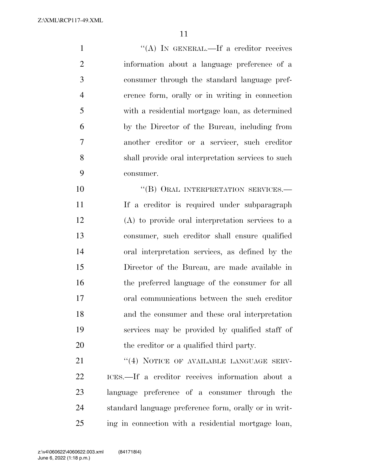1 ''(A) IN GENERAL.—If a creditor receives information about a language preference of a consumer through the standard language pref- erence form, orally or in writing in connection with a residential mortgage loan, as determined by the Director of the Bureau, including from another creditor or a servicer, such creditor shall provide oral interpretation services to such consumer.

10 "(B) ORAL INTERPRETATION SERVICES.— If a creditor is required under subparagraph (A) to provide oral interpretation services to a consumer, such creditor shall ensure qualified oral interpretation services, as defined by the Director of the Bureau, are made available in the preferred language of the consumer for all oral communications between the such creditor and the consumer and these oral interpretation services may be provided by qualified staff of 20 the creditor or a qualified third party.

21 "(4) NOTICE OF AVAILABLE LANGUAGE SERV- ICES.—If a creditor receives information about a language preference of a consumer through the standard language preference form, orally or in writ-ing in connection with a residential mortgage loan,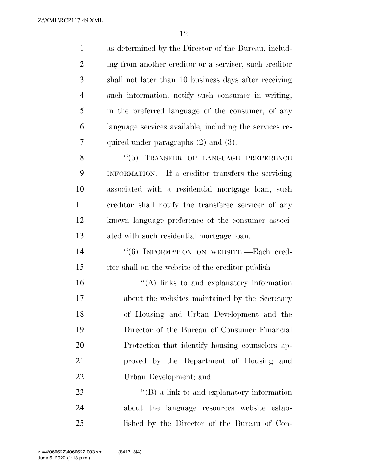| $\mathbf{1}$   | as determined by the Director of the Bureau, includ-    |
|----------------|---------------------------------------------------------|
| $\overline{2}$ | ing from another creditor or a servicer, such creditor  |
| 3              | shall not later than 10 business days after receiving   |
| $\overline{4}$ | such information, notify such consumer in writing,      |
| 5              | in the preferred language of the consumer, of any       |
| 6              | language services available, including the services re- |
| 7              | quired under paragraphs $(2)$ and $(3)$ .               |
| 8              | "(5) TRANSFER OF LANGUAGE PREFERENCE                    |
| 9              | INFORMATION.—If a creditor transfers the servicing      |
| 10             | associated with a residential mortgage loan, such       |
| 11             | creditor shall notify the transferee servicer of any    |
| 12             | known language preference of the consumer associ-       |
| 13             | ated with such residential mortgage loan.               |
| 14             | "(6) INFORMATION ON WEBSITE.-Each cred-                 |
| 15             | itor shall on the website of the creditor publish—      |
| 16             | $\lq\lq$ . links to and explanatory information         |
| 17             | about the websites maintained by the Secretary          |
| 18             | of Housing and Urban Development and the                |
| 19             | Director of the Bureau of Consumer Financial            |
| 20             | Protection that identify housing counselors ap-         |
| 21             | proved by the Department of Housing and                 |
| 22             | Urban Development; and                                  |
| 23             | $\lq\lq (B)$ a link to and explanatory information      |
| 24             | about the language resources website estab-             |
| 25             | lished by the Director of the Bureau of Con-            |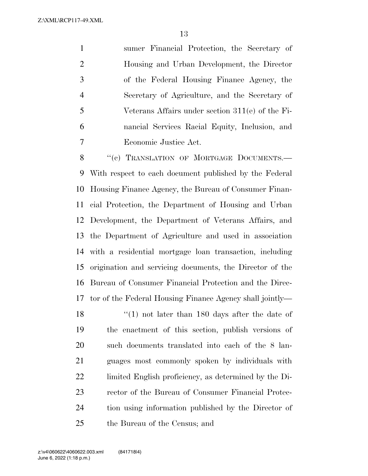sumer Financial Protection, the Secretary of Housing and Urban Development, the Director of the Federal Housing Finance Agency, the Secretary of Agriculture, and the Secretary of Veterans Affairs under section 311(e) of the Fi- nancial Services Racial Equity, Inclusion, and Economic Justice Act.

8 "(c) TRANSLATION OF MORTGAGE DOCUMENTS.— With respect to each document published by the Federal Housing Finance Agency, the Bureau of Consumer Finan- cial Protection, the Department of Housing and Urban Development, the Department of Veterans Affairs, and the Department of Agriculture and used in association with a residential mortgage loan transaction, including origination and servicing documents, the Director of the Bureau of Consumer Financial Protection and the Direc-tor of the Federal Housing Finance Agency shall jointly—

18 ''(1) not later than 180 days after the date of the enactment of this section, publish versions of such documents translated into each of the 8 lan- guages most commonly spoken by individuals with limited English proficiency, as determined by the Di- rector of the Bureau of Consumer Financial Protec- tion using information published by the Director of the Bureau of the Census; and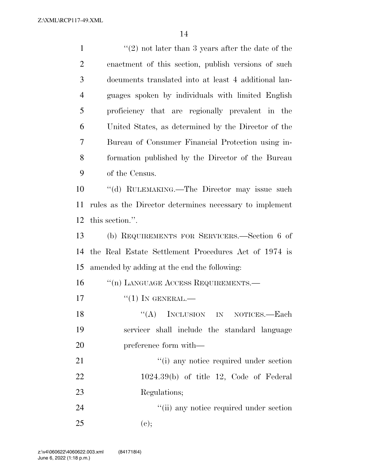| $\mathbf{1}$   | $\lq(2)$ not later than 3 years after the date of the   |
|----------------|---------------------------------------------------------|
| $\overline{2}$ | enactment of this section, publish versions of such     |
| 3              | documents translated into at least 4 additional lan-    |
| $\overline{4}$ | guages spoken by individuals with limited English       |
| 5              | proficiency that are regionally prevalent in the        |
| 6              | United States, as determined by the Director of the     |
| $\overline{7}$ | Bureau of Consumer Financial Protection using in-       |
| 8              | formation published by the Director of the Bureau       |
| 9              | of the Census.                                          |
| 10             | "(d) RULEMAKING.—The Director may issue such            |
| 11             | rules as the Director determines necessary to implement |
| 12             | this section.".                                         |
| 13             | (b) REQUIREMENTS FOR SERVICERS.—Section 6 of            |
| 14             | the Real Estate Settlement Procedures Act of 1974 is    |
| 15             | amended by adding at the end the following:             |
| 16             | "(n) LANGUAGE ACCESS REQUIREMENTS.—                     |
| 17             | $``(1)$ IN GENERAL.—                                    |
| 18             | "(A) INCLUSION IN NOTICES.—Each                         |
| 19             | servicer shall include the standard language            |
| 20             | preference form with—                                   |
| 21             | "(i) any notice required under section                  |
| 22             | $1024.39(b)$ of title 12, Code of Federal               |
| 23             | Regulations;                                            |
| 24             | "(ii) any notice required under section                 |
| 25             | (e);                                                    |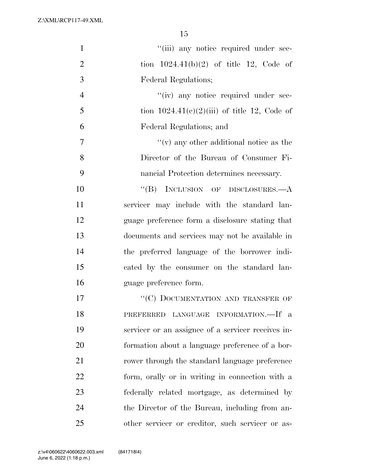| $\mathbf{1}$   | "(iii) any notice required under sec-              |
|----------------|----------------------------------------------------|
| $\overline{2}$ | tion $1024.41(b)(2)$ of title 12, Code of          |
| 3              | Federal Regulations;                               |
| $\overline{4}$ | "(iv) any notice required under sec-               |
| 5              | tion $1024.41(c)(2)(iii)$ of title 12, Code of     |
| 6              | Federal Regulations; and                           |
| $\overline{7}$ | $f'(v)$ any other additional notice as the         |
| 8              | Director of the Bureau of Consumer Fi-             |
| 9              | nancial Protection determines necessary.           |
| 10             | "(B) INCLUSION OF DISCLOSURES.—A                   |
| 11             | servicer may include with the standard lan-        |
| 12             | guage preference form a disclosure stating that    |
| 13             | documents and services may not be available in     |
| 14             | the preferred language of the borrower indi-       |
| 15             | cated by the consumer on the standard lan-         |
| 16             | guage preference form.                             |
| 17             | "(C) DOCUMENTATION AND TRANSFER OF                 |
| 18             | PREFERRED LANGUAGE INFORMATION.-If a               |
| 19             | servicer or an assignee of a servicer receives in- |
| 20             | formation about a language preference of a bor-    |
| 21             | rower through the standard language preference     |
| 22             | form, orally or in writing in connection with a    |
| 23             | federally related mortgage, as determined by       |
| 24             | the Director of the Bureau, including from an-     |
| 25             | other servicer or creditor, such servicer or as-   |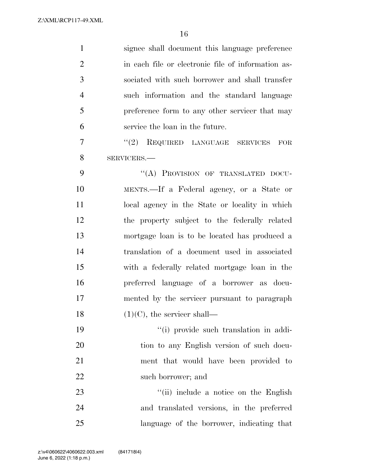| $\mathbf{1}$   | signee shall document this language preference     |
|----------------|----------------------------------------------------|
| $\overline{2}$ | in each file or electronic file of information as- |
| 3              | sociated with such borrower and shall transfer     |
| $\overline{4}$ | such information and the standard language         |
| 5              | preference form to any other servicer that may     |
| 6              | service the loan in the future.                    |
| 7              | "(2) REQUIRED LANGUAGE SERVICES<br>FOR             |
| 8              | SERVICERS.-                                        |
| 9              | "(A) PROVISION OF TRANSLATED DOCU-                 |
| 10             | MENTS.—If a Federal agency, or a State or          |
| 11             | local agency in the State or locality in which     |
| 12             | the property subject to the federally related      |
| 13             | mortgage loan is to be located has produced a      |
| 14             | translation of a document used in associated       |
| 15             | with a federally related mortgage loan in the      |
| 16             | preferred language of a borrower as docu-          |
| 17             | mented by the servicer pursuant to paragraph       |
| 18             | $(1)(C)$ , the servicer shall—                     |
| 19             | "(i) provide such translation in addi-             |
| 20             | tion to any English version of such docu-          |
| 21             | ment that would have been provided to              |
| 22             | such borrower; and                                 |
| 23             | "(ii) include a notice on the English              |
| 24             | and translated versions, in the preferred          |
| 25             | language of the borrower, indicating that          |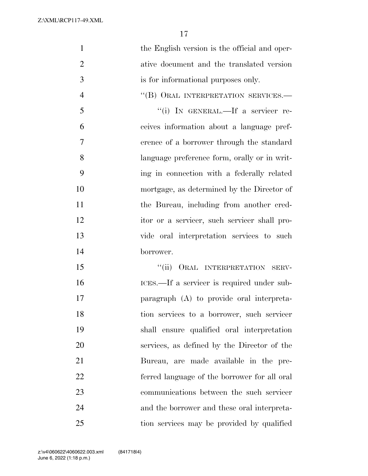| $\mathbf{1}$   | the English version is the official and oper- |
|----------------|-----------------------------------------------|
| $\overline{2}$ | ative document and the translated version     |
| 3              | is for informational purposes only.           |
| $\overline{4}$ | "(B) ORAL INTERPRETATION SERVICES.-           |
| 5              | "(i) IN GENERAL.—If a servicer re-            |
| 6              | ceives information about a language pref-     |
| $\overline{7}$ | erence of a borrower through the standard     |
| 8              | language preference form, orally or in writ-  |
| 9              | ing in connection with a federally related    |
| 10             | mortgage, as determined by the Director of    |
| 11             | the Bureau, including from another cred-      |
| 12             | itor or a servicer, such servicer shall pro-  |
| 13             | vide oral interpretation services to such     |
| 14             | borrower.                                     |
| 15             | "(ii) ORAL INTERPRETATION SERV-               |
| 16             | ICES.—If a servicer is required under sub-    |
| 17             | paragraph (A) to provide oral interpreta-     |
| 18             | tion services to a borrower, such servicer    |
| 19             | shall ensure qualified oral interpretation    |
| 20             | services, as defined by the Director of the   |
| 21             | Bureau, are made available in the pre-        |
| 22             | ferred language of the borrower for all oral  |
| 23             | communications between the such servicer      |
| 24             | and the borrower and these oral interpreta-   |
| 25             | tion services may be provided by qualified    |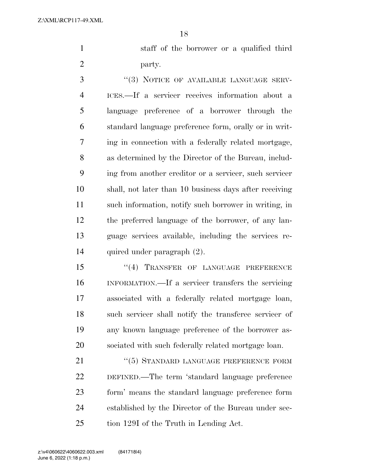staff of the borrower or a qualified third party.

3 "(3) NOTICE OF AVAILABLE LANGUAGE SERV- ICES.—If a servicer receives information about a language preference of a borrower through the standard language preference form, orally or in writ- ing in connection with a federally related mortgage, as determined by the Director of the Bureau, includ- ing from another creditor or a servicer, such servicer shall, not later than 10 business days after receiving such information, notify such borrower in writing, in the preferred language of the borrower, of any lan- guage services available, including the services re-quired under paragraph (2).

15 "(4) TRANSFER OF LANGUAGE PREFERENCE INFORMATION.—If a servicer transfers the servicing associated with a federally related mortgage loan, such servicer shall notify the transferee servicer of any known language preference of the borrower as-sociated with such federally related mortgage loan.

21 "(5) STANDARD LANGUAGE PREFERENCE FORM DEFINED.—The term 'standard language preference form' means the standard language preference form established by the Director of the Bureau under sec-tion 129I of the Truth in Lending Act.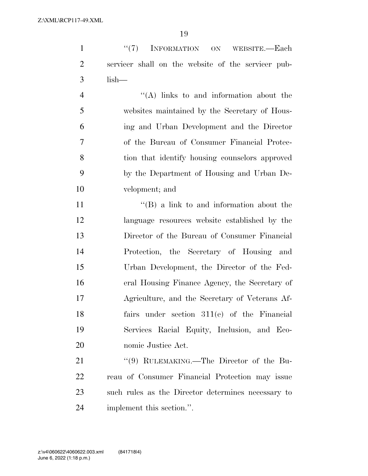| $\mathbf{1}$   | "(7) INFORMATION ON<br>WEBSITE.—Each               |
|----------------|----------------------------------------------------|
| $\overline{2}$ | servicer shall on the website of the servicer pub- |
| 3              | $lish-$                                            |
| $\overline{4}$ | $\lq\lq$ links to and information about the        |
| 5              | websites maintained by the Secretary of Hous-      |
| 6              | ing and Urban Development and the Director         |
| 7              | of the Bureau of Consumer Financial Protec-        |
| 8              | tion that identify housing counselors approved     |
| 9              | by the Department of Housing and Urban De-         |
| 10             | velopment; and                                     |
| 11             | $\lq\lq (B)$ a link to and information about the   |
| 12             | language resources website established by the      |
| 13             | Director of the Bureau of Consumer Financial       |
| 14             | Protection, the Secretary of Housing and           |
| 15             | Urban Development, the Director of the Fed-        |
| 16             | eral Housing Finance Agency, the Secretary of      |
| 17             | Agriculture, and the Secretary of Veterans Af-     |
| 18             | fairs under section $311(e)$ of the Financial      |
| 19             | Services Racial Equity, Inclusion, and Eco-        |
| 20             | nomic Justice Act.                                 |
| 21             | "(9) RULEMAKING.—The Director of the Bu-           |

21 ''(9) RULEMAKING.—The Director of the Bu- reau of Consumer Financial Protection may issue such rules as the Director determines necessary to implement this section.''.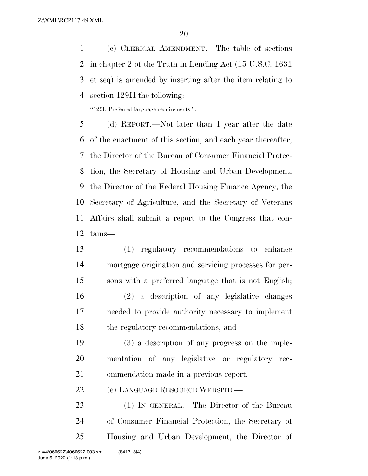(c) CLERICAL AMENDMENT.—The table of sections in chapter 2 of the Truth in Lending Act (15 U.S.C. 1631 et seq) is amended by inserting after the item relating to section 129H the following:

''129I. Preferred language requirements.''.

 (d) REPORT.—Not later than 1 year after the date of the enactment of this section, and each year thereafter, the Director of the Bureau of Consumer Financial Protec- tion, the Secretary of Housing and Urban Development, the Director of the Federal Housing Finance Agency, the Secretary of Agriculture, and the Secretary of Veterans Affairs shall submit a report to the Congress that con-tains—

 (1) regulatory recommendations to enhance mortgage origination and servicing processes for per- sons with a preferred language that is not English; (2) a description of any legislative changes needed to provide authority necessary to implement the regulatory recommendations; and

 (3) a description of any progress on the imple- mentation of any legislative or regulatory rec-ommendation made in a previous report.

(e) LANGUAGE RESOURCE WEBSITE.—

 (1) IN GENERAL.—The Director of the Bureau of Consumer Financial Protection, the Secretary of Housing and Urban Development, the Director of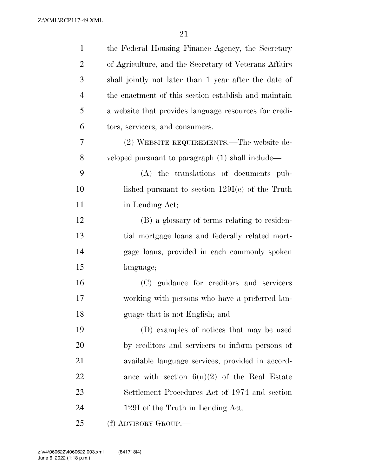| $\mathbf{1}$   | the Federal Housing Finance Agency, the Secretary     |
|----------------|-------------------------------------------------------|
| $\overline{2}$ | of Agriculture, and the Secretary of Veterans Affairs |
| 3              | shall jointly not later than 1 year after the date of |
| $\overline{4}$ | the enactment of this section establish and maintain  |
| 5              | a website that provides language resources for credi- |
| 6              | tors, servicers, and consumers.                       |
| 7              | (2) WEBSITE REQUIREMENTS.—The website de-             |
| 8              | veloped pursuant to paragraph (1) shall include—      |
| 9              | (A) the translations of documents pub-                |
| 10             | lished pursuant to section $129I(c)$ of the Truth     |
| 11             | in Lending Act;                                       |
| 12             | (B) a glossary of terms relating to residen-          |
| 13             | tial mortgage loans and federally related mort-       |
| 14             | gage loans, provided in each commonly spoken          |
| 15             | language;                                             |
| 16             | (C) guidance for creditors and servicers              |
| 17             | working with persons who have a preferred lan-        |
| 18             | guage that is not English; and                        |
| 19             | (D) examples of notices that may be used              |
| 20             | by creditors and servicers to inform persons of       |
| 21             | available language services, provided in accord-      |
| 22             | ance with section $6(n)(2)$ of the Real Estate        |
| 23             | Settlement Procedures Act of 1974 and section         |
| 24             | 129I of the Truth in Lending Act.                     |
| 25             | (f) ADVISORY GROUP.—                                  |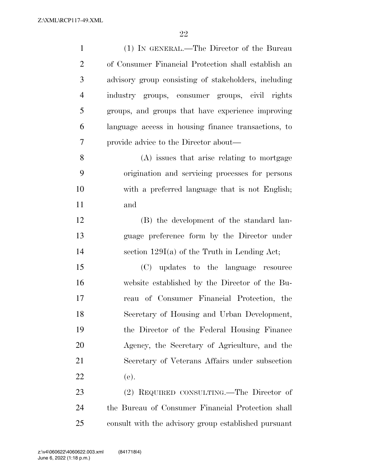| $\mathbf{1}$   | (1) IN GENERAL.—The Director of the Bureau           |
|----------------|------------------------------------------------------|
| $\overline{2}$ | of Consumer Financial Protection shall establish an  |
| 3              | advisory group consisting of stakeholders, including |
| $\overline{4}$ | industry groups, consumer groups, civil rights       |
| 5              | groups, and groups that have experience improving    |
| 6              | language access in housing finance transactions, to  |
| 7              | provide advice to the Director about—                |
| 8              | (A) issues that arise relating to mortgage           |
| 9              | origination and servicing processes for persons      |
| 10             | with a preferred language that is not English;       |
| 11             | and                                                  |
| 12             | (B) the development of the standard lan-             |
| 13             | guage preference form by the Director under          |
| 14             | section $129I(a)$ of the Truth in Lending Act;       |
| 15             | (C) updates to the language resource                 |
| 16             | website established by the Director of the Bu-       |
| 17             | reau of Consumer Financial Protection, the           |
| 18             | Secretary of Housing and Urban Development,          |
| 19             | the Director of the Federal Housing Finance          |
| 20             | Agency, the Secretary of Agriculture, and the        |
| 21             | Secretary of Veterans Affairs under subsection       |
| 22             | (e).                                                 |
| 23             | (2) REQUIRED CONSULTING.—The Director of             |
| 24             | the Bureau of Consumer Financial Protection shall    |
| 25             | consult with the advisory group established pursuant |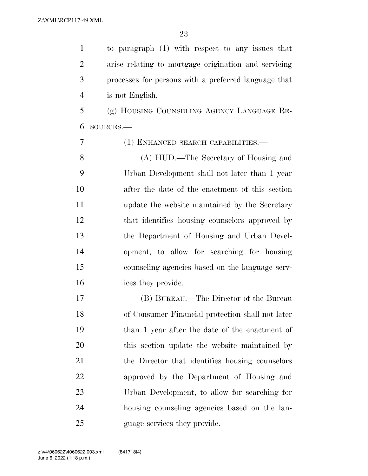to paragraph (1) with respect to any issues that arise relating to mortgage origination and servicing processes for persons with a preferred language that is not English.

 (g) HOUSING COUNSELING AGENCY LANGUAGE RE-SOURCES.—

 (1) ENHANCED SEARCH CAPABILITIES.— (A) HUD.—The Secretary of Housing and Urban Development shall not later than 1 year after the date of the enactment of this section update the website maintained by the Secretary that identifies housing counselors approved by the Department of Housing and Urban Devel- opment, to allow for searching for housing counseling agencies based on the language serv-ices they provide.

 (B) BUREAU.—The Director of the Bureau of Consumer Financial protection shall not later than 1 year after the date of the enactment of this section update the website maintained by 21 the Director that identifies housing counselors approved by the Department of Housing and Urban Development, to allow for searching for housing counseling agencies based on the lan-25 guage services they provide.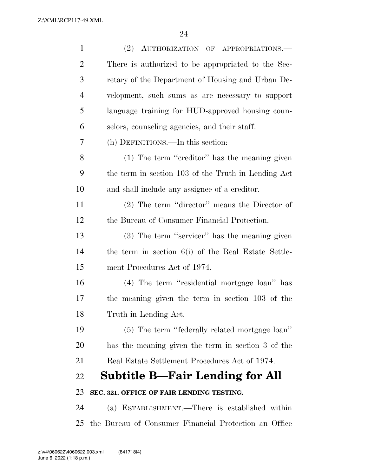| $\mathbf{1}$   | (2) AUTHORIZATION OF APPROPRIATIONS.                  |
|----------------|-------------------------------------------------------|
| $\overline{2}$ | There is authorized to be appropriated to the Sec-    |
| 3              | retary of the Department of Housing and Urban De-     |
| $\overline{4}$ | velopment, such sums as are necessary to support      |
| 5              | language training for HUD-approved housing coun-      |
| 6              | selors, counseling agencies, and their staff.         |
| 7              | (h) DEFINITIONS.—In this section:                     |
| 8              | (1) The term "creditor" has the meaning given         |
| 9              | the term in section 103 of the Truth in Lending Act   |
| 10             | and shall include any assignee of a creditor.         |
| 11             | $(2)$ The term "director" means the Director of       |
| 12             | the Bureau of Consumer Financial Protection.          |
| 13             | (3) The term "servicer" has the meaning given         |
| 14             | the term in section 6(i) of the Real Estate Settle-   |
| 15             | ment Procedures Act of 1974.                          |
| 16             | (4) The term "residential mortgage loan" has          |
| 17             | the meaning given the term in section 103 of the      |
| 18             | Truth in Lending Act.                                 |
| 19             | (5) The term "federally related mortgage loan"        |
| 20             | has the meaning given the term in section 3 of the    |
| 21             | Real Estate Settlement Procedures Act of 1974.        |
| 22             | Subtitle B—Fair Lending for All                       |
| 23             | SEC. 321. OFFICE OF FAIR LENDING TESTING.             |
| 24             | (a) ESTABLISHMENT.—There is established within        |
| 25             | the Bureau of Consumer Financial Protection an Office |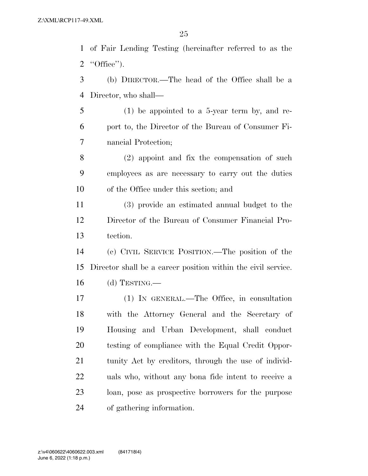of Fair Lending Testing (hereinafter referred to as the ''Office'').

 (b) DIRECTOR.—The head of the Office shall be a Director, who shall—

 (1) be appointed to a 5-year term by, and re- port to, the Director of the Bureau of Consumer Fi-nancial Protection;

 (2) appoint and fix the compensation of such employees as are necessary to carry out the duties of the Office under this section; and

 (3) provide an estimated annual budget to the Director of the Bureau of Consumer Financial Pro-tection.

 (c) CIVIL SERVICE POSITION.—The position of the Director shall be a career position within the civil service. (d) TESTING.—

 (1) IN GENERAL.—The Office, in consultation with the Attorney General and the Secretary of Housing and Urban Development, shall conduct testing of compliance with the Equal Credit Oppor-21 tunity Act by creditors, through the use of individ- uals who, without any bona fide intent to receive a loan, pose as prospective borrowers for the purpose of gathering information.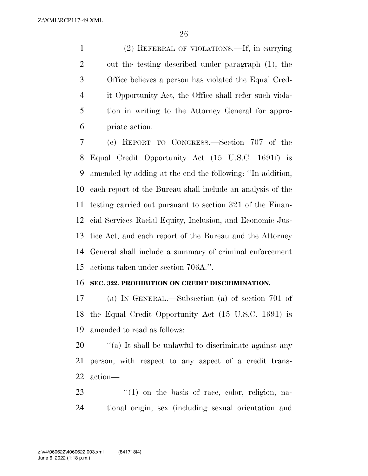(2) REFERRAL OF VIOLATIONS.—If, in carrying out the testing described under paragraph (1), the Office believes a person has violated the Equal Cred- it Opportunity Act, the Office shall refer such viola- tion in writing to the Attorney General for appro-priate action.

 (e) REPORT TO CONGRESS.—Section 707 of the Equal Credit Opportunity Act (15 U.S.C. 1691f) is amended by adding at the end the following: ''In addition, each report of the Bureau shall include an analysis of the testing carried out pursuant to section 321 of the Finan- cial Services Racial Equity, Inclusion, and Economic Jus- tice Act, and each report of the Bureau and the Attorney General shall include a summary of criminal enforcement actions taken under section 706A.''.

#### **SEC. 322. PROHIBITION ON CREDIT DISCRIMINATION.**

 (a) IN GENERAL.—Subsection (a) of section 701 of the Equal Credit Opportunity Act (15 U.S.C. 1691) is amended to read as follows:

20  $\frac{1}{20}$  (a) It shall be unlawful to discriminate against any person, with respect to any aspect of a credit trans-action—

23 "(1) on the basis of race, color, religion, na-tional origin, sex (including sexual orientation and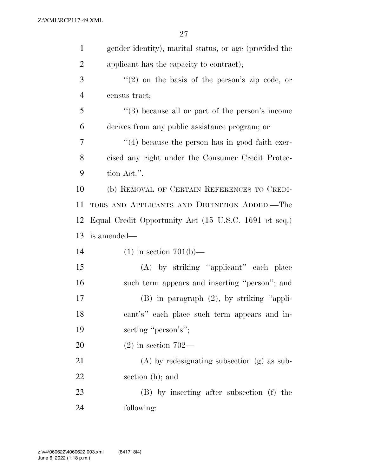| $\mathbf{1}$   | gender identity), marital status, or age (provided the |
|----------------|--------------------------------------------------------|
| $\overline{2}$ | applicant has the capacity to contract);               |
| 3              | $(2)$ on the basis of the person's zip code, or        |
| $\overline{4}$ | census tract;                                          |
| 5              | $\lq(3)$ because all or part of the person's income    |
| 6              | derives from any public assistance program; or         |
| 7              | $\lq(4)$ because the person has in good faith exer-    |
| 8              | cised any right under the Consumer Credit Protec-      |
| 9              | tion Act.".                                            |
| 10             | (b) REMOVAL OF CERTAIN REFERENCES TO CREDI-            |
| 11             | TORS AND APPLICANTS AND DEFINITION ADDED.-The          |
| 12             | Equal Credit Opportunity Act (15 U.S.C. 1691 et seq.)  |
| 13             | is amended—                                            |
| 14             | $(1)$ in section 701(b)—                               |
| 15             | (A) by striking "applicant" each place                 |
| 16             | such term appears and inserting "person"; and          |
| 17             | (B) in paragraph (2), by striking "appli-              |
| 18             | cant's" each place such term appears and in-           |
| 19             | serting "person's";                                    |
| 20             | $(2)$ in section 702—                                  |
| 21             | $(A)$ by redesignating subsection $(g)$ as sub-        |
| 22             | section (h); and                                       |
| 23             | (B) by inserting after subsection (f) the              |
| 24             | following:                                             |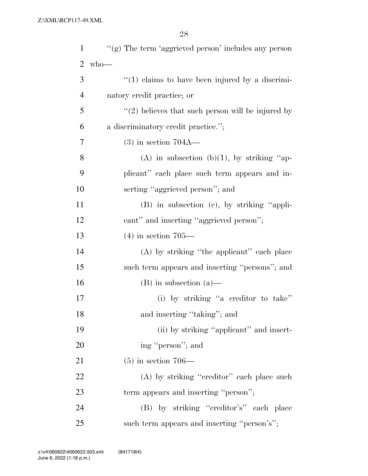| $\mathbf{1}$   | $``(g)$ The term 'aggrieved person' includes any person |
|----------------|---------------------------------------------------------|
| $\overline{2}$ | $w$ ho—                                                 |
| 3              | $\lq(1)$ claims to have been injured by a discrimi-     |
| $\overline{4}$ | natory credit practice; or                              |
| 5              | $\lq(2)$ believes that such person will be injured by   |
| 6              | a discriminatory credit practice.";                     |
| $\overline{7}$ | $(3)$ in section 704A—                                  |
| 8              | (A) in subsection (b)(1), by striking "ap-              |
| 9              | plicant" each place such term appears and in-           |
| 10             | serting "aggrieved person"; and                         |
| 11             | $(B)$ in subsection $(c)$ , by striking "appli-         |
| 12             | cant" and inserting "aggrieved person";                 |
| 13             | $(4)$ in section 705—                                   |
| 14             | (A) by striking "the applicant" each place              |
| 15             | such term appears and inserting "persons"; and          |
| 16             | $(B)$ in subsection $(a)$ —                             |
| 17             | (i) by striking "a creditor to take"                    |
| 18             | and inserting "taking"; and                             |
| 19             | (ii) by striking "applicant" and insert-                |
| 20             | ing "person"; and                                       |
| 21             | $(5)$ in section 706—                                   |
| 22             | (A) by striking "creditor" each place such              |
| 23             | term appears and inserting "person";                    |
| 24             | (B) by striking "creditor's" each place                 |
| 25             | such term appears and inserting "person's";             |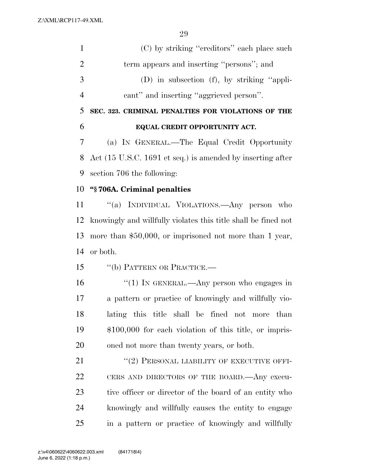| $\mathbf{1}$   | (C) by striking "creditors" each place such                    |
|----------------|----------------------------------------------------------------|
| $\overline{2}$ | term appears and inserting "persons"; and                      |
| 3              | (D) in subsection (f), by striking "appli-                     |
| $\overline{4}$ | cant" and inserting "aggrieved person".                        |
| 5              | SEC. 323. CRIMINAL PENALTIES FOR VIOLATIONS OF THE             |
| 6              | EQUAL CREDIT OPPORTUNITY ACT.                                  |
| 7              | (a) IN GENERAL.—The Equal Credit Opportunity                   |
| 8              | Act (15 U.S.C. 1691 et seq.) is amended by inserting after     |
| 9              | section 706 the following:                                     |
| 10             | "§706A. Criminal penalties                                     |
| 11             | "(a) INDIVIDUAL VIOLATIONS.—Any person who                     |
| 12             | knowingly and willfully violates this title shall be fined not |
| 13             | more than $$50,000$ , or imprisoned not more than 1 year,      |
| 14             | or both.                                                       |
| 15             | "(b) PATTERN OR PRACTICE.-                                     |
| 16             | "(1) IN GENERAL.—Any person who engages in                     |
| 17             | a pattern or practice of knowingly and willfully vio-          |
| 18             | lating this title shall be fined not more than                 |
| 19             | $$100,000$ for each violation of this title, or impris-        |
| 20             | oned not more than twenty years, or both.                      |
| 21             | "(2) PERSONAL LIABILITY OF EXECUTIVE OFFI-                     |
| 22             | CERS AND DIRECTORS OF THE BOARD. Any execu-                    |
| 23             | tive officer or director of the board of an entity who         |
| 24             | knowingly and willfully causes the entity to engage            |
| 25             | in a pattern or practice of knowingly and willfully            |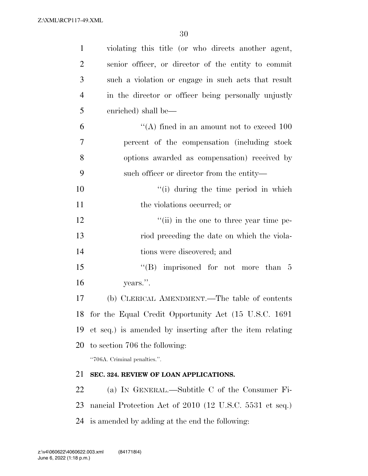| $\mathbf{1}$   | violating this title (or who directs another agent,       |
|----------------|-----------------------------------------------------------|
| $\overline{2}$ | senior officer, or director of the entity to commit       |
| 3              | such a violation or engage in such acts that result       |
| $\overline{4}$ | in the director or officer being personally unjustly      |
| 5              | enriched) shall be—                                       |
| 6              | "(A) fined in an amount not to exceed $100$               |
| $\overline{7}$ | percent of the compensation (including stock)             |
| 8              | options awarded as compensation) received by              |
| 9              | such officer or director from the entity—                 |
| 10             | "(i) during the time period in which                      |
| 11             | the violations occurred; or                               |
| 12             | $\lq$ <sup>"</sup> (ii) in the one to three year time pe- |
| 13             | riod preceding the date on which the viola-               |
| 14             | tions were discovered; and                                |
| 15             | "(B) imprisoned for not more than $5$                     |
| 16             | years.".                                                  |
| 17             | (b) CLERICAL AMENDMENT.—The table of contents             |
|                | 18 for the Equal Credit Opportunity Act (15 U.S.C. 1691   |
| 19             | et seq.) is amended by inserting after the item relating  |
| 20             | to section 706 the following:                             |
|                | "706A. Criminal penalties.".                              |
| 21             | SEC. 324. REVIEW OF LOAN APPLICATIONS.                    |
| 22             | (a) IN GENERAL.—Subtitle C of the Consumer Fi-            |
| 23             | nancial Protection Act of 2010 (12 U.S.C. 5531 et seq.)   |
|                | 24 is amended by adding at the end the following:         |
|                |                                                           |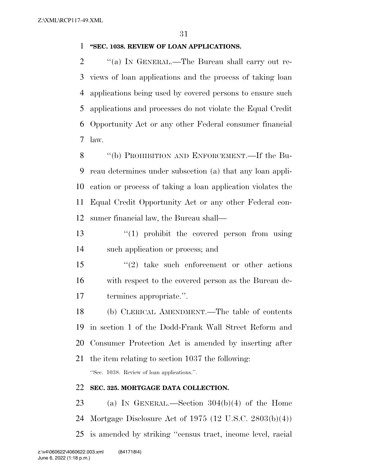#### **''SEC. 1038. REVIEW OF LOAN APPLICATIONS.**

 $\gamma$  (a) In GENERAL.—The Bureau shall carry out re- views of loan applications and the process of taking loan applications being used by covered persons to ensure such applications and processes do not violate the Equal Credit Opportunity Act or any other Federal consumer financial law.

8 "(b) PROHIBITION AND ENFORCEMENT.—If the Bu- reau determines under subsection (a) that any loan appli- cation or process of taking a loan application violates the Equal Credit Opportunity Act or any other Federal con-sumer financial law, the Bureau shall—

13  $\frac{13}{2}$   $\frac{13}{2}$  if the covered person from using such application or process; and

 ''(2) take such enforcement or other actions with respect to the covered person as the Bureau de-termines appropriate.''.

 (b) CLERICAL AMENDMENT.—The table of contents in section 1 of the Dodd-Frank Wall Street Reform and Consumer Protection Act is amended by inserting after

 the item relating to section 1037 the following: ''Sec. 1038. Review of loan applications.''.

### **SEC. 325. MORTGAGE DATA COLLECTION.**

 (a) IN GENERAL.—Section 304(b)(4) of the Home Mortgage Disclosure Act of 1975 (12 U.S.C. 2803(b)(4)) is amended by striking ''census tract, income level, racial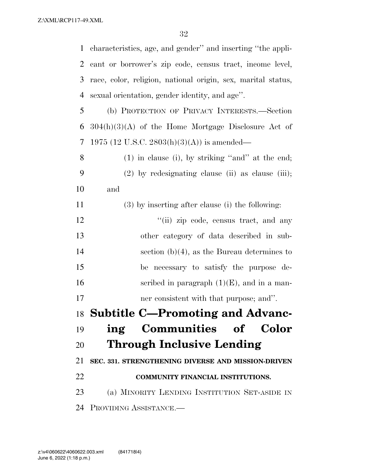characteristics, age, and gender'' and inserting ''the appli- cant or borrower's zip code, census tract, income level, race, color, religion, national origin, sex, marital status, sexual orientation, gender identity, and age''. (b) PROTECTION OF PRIVACY INTERESTS.—Section  $304(h)(3)(A)$  of the Home Mortgage Disclosure Act of 1975 (12 U.S.C. 2803(h)(3)(A)) is amended— (1) in clause (i), by striking ''and'' at the end; (2) by redesignating clause (ii) as clause (iii); and (3) by inserting after clause (i) the following: 12 ''(ii) zip code, census tract, and any other category of data described in sub- section (b)(4), as the Bureau determines to be necessary to satisfy the purpose de-16 seribed in paragraph  $(1)(E)$ , and in a man- ner consistent with that purpose; and''. **Subtitle C—Promoting and Advanc- ing Communities of Color Through Inclusive Lending SEC. 331. STRENGTHENING DIVERSE AND MISSION-DRIVEN COMMUNITY FINANCIAL INSTITUTIONS.**  (a) MINORITY LENDING INSTITUTION SET-ASIDE IN PROVIDING ASSISTANCE.—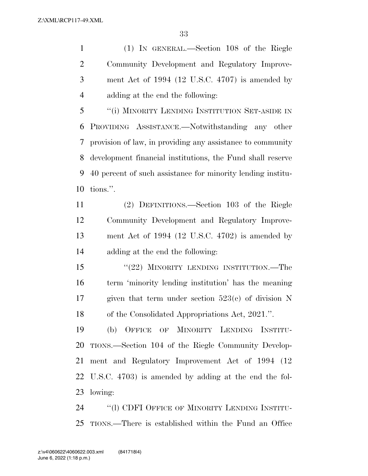(1) IN GENERAL.—Section 108 of the Riegle Community Development and Regulatory Improve- ment Act of 1994 (12 U.S.C. 4707) is amended by adding at the end the following:

 ''(i) MINORITY LENDING INSTITUTION SET-ASIDE IN PROVIDING ASSISTANCE.—Notwithstanding any other provision of law, in providing any assistance to community development financial institutions, the Fund shall reserve 40 percent of such assistance for minority lending institu-tions.''.

 (2) DEFINITIONS.—Section 103 of the Riegle Community Development and Regulatory Improve- ment Act of 1994 (12 U.S.C. 4702) is amended by adding at the end the following:

 ''(22) MINORITY LENDING INSTITUTION.—The term 'minority lending institution' has the meaning given that term under section 523(c) of division N of the Consolidated Appropriations Act, 2021.''.

 (b) OFFICE OF MINORITY LENDING INSTITU- TIONS.—Section 104 of the Riegle Community Develop- ment and Regulatory Improvement Act of 1994 (12 U.S.C. 4703) is amended by adding at the end the fol-lowing:

24 "(1) CDFI OFFICE OF MINORITY LENDING INSTITU-TIONS.—There is established within the Fund an Office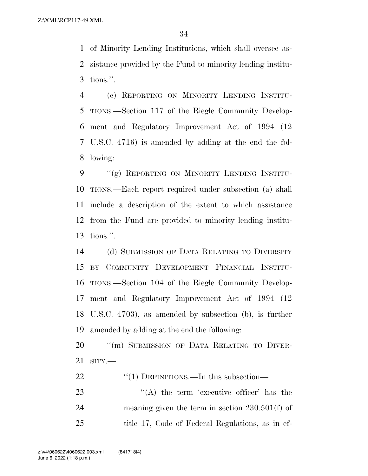of Minority Lending Institutions, which shall oversee as- sistance provided by the Fund to minority lending institu-tions.''.

 (c) REPORTING ON MINORITY LENDING INSTITU- TIONS.—Section 117 of the Riegle Community Develop- ment and Regulatory Improvement Act of 1994 (12 U.S.C. 4716) is amended by adding at the end the fol-lowing:

9 "(g) REPORTING ON MINORITY LENDING INSTITU- TIONS.—Each report required under subsection (a) shall include a description of the extent to which assistance from the Fund are provided to minority lending institu-tions.''.

 (d) SUBMISSION OF DATA RELATING TO DIVERSITY BY COMMUNITY DEVELOPMENT FINANCIAL INSTITU- TIONS.—Section 104 of the Riegle Community Develop- ment and Regulatory Improvement Act of 1994 (12 U.S.C. 4703), as amended by subsection (b), is further amended by adding at the end the following:

20 "(m) SUBMISSION OF DATA RELATING TO DIVER-SITY.—

22 "(1) DEFINITIONS.—In this subsection—

23  $\langle (A)$  the term 'executive officer' has the meaning given the term in section 230.501(f) of title 17, Code of Federal Regulations, as in ef-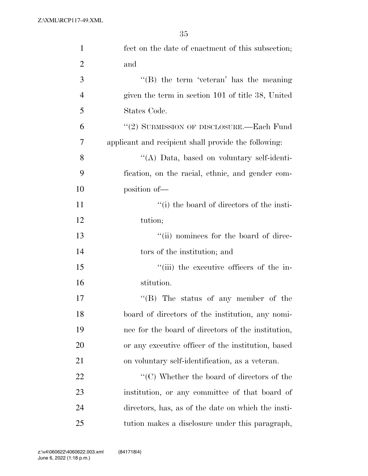| $\mathbf{1}$   | fect on the date of enactment of this subsection;               |
|----------------|-----------------------------------------------------------------|
| $\overline{2}$ | and                                                             |
| 3              | $\lq\lq$ (B) the term 'veteran' has the meaning                 |
| $\overline{4}$ | given the term in section 101 of title 38, United               |
| 5              | States Code.                                                    |
| 6              | "(2) SUBMISSION OF DISCLOSURE.—Each Fund                        |
| 7              | applicant and recipient shall provide the following:            |
| 8              | "(A) Data, based on voluntary self-identi-                      |
| 9              | fication, on the racial, ethnic, and gender com-                |
| 10             | position of-                                                    |
| 11             | "(i) the board of directors of the insti-                       |
| 12             | tution;                                                         |
| 13             | "(ii) nominees for the board of direc-                          |
| 14             | tors of the institution; and                                    |
| 15             | "(iii) the executive officers of the in-                        |
| 16             | stitution.                                                      |
| 17             | "(B) The status of any member of the                            |
| 18             | board of directors of the institution, any nomi-                |
| 19             | nee for the board of directors of the institution,              |
| 20             | or any executive officer of the institution, based              |
| 21             | on voluntary self-identification, as a veteran.                 |
| 22             | $\lq\lq$ <sup>"</sup> (C) Whether the board of directors of the |
| 23             | institution, or any committee of that board of                  |
| 24             | directors, has, as of the date on which the insti-              |
| 25             | tution makes a disclosure under this paragraph,                 |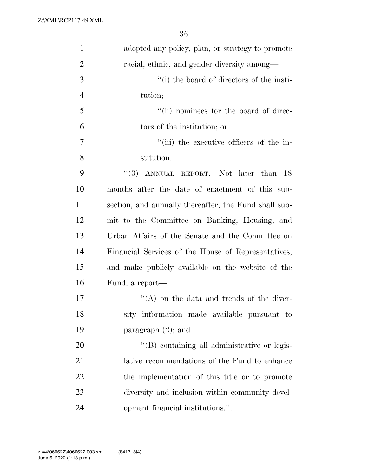| $\mathbf{1}$   | adopted any policy, plan, or strategy to promote      |
|----------------|-------------------------------------------------------|
| $\overline{2}$ | racial, ethnic, and gender diversity among—           |
| 3              | "(i) the board of directors of the insti-             |
| $\overline{4}$ | tution;                                               |
| 5              | "(ii) nominees for the board of direc-                |
| 6              | tors of the institution; or                           |
| $\overline{7}$ | "(iii) the executive officers of the in-              |
| 8              | stitution.                                            |
| 9              | "(3) ANNUAL REPORT.—Not later than 18                 |
| 10             | months after the date of enactment of this sub-       |
| 11             | section, and annually thereafter, the Fund shall sub- |
| 12             | mit to the Committee on Banking, Housing, and         |
| 13             | Urban Affairs of the Senate and the Committee on      |
| 14             | Financial Services of the House of Representatives,   |
| 15             | and make publicly available on the website of the     |
| 16             | Fund, a report—                                       |
| 17             | $\lq\lq$ on the data and trends of the diver-         |
| 18             | sity information made available pursuant to           |
| 19             | paragraph $(2)$ ; and                                 |
| 20             | "(B) containing all administrative or legis-          |
| 21             | lative recommendations of the Fund to enhance         |
| 22             | the implementation of this title or to promote        |
| 23             | diversity and inclusion within community devel-       |
| 24             | opment financial institutions.".                      |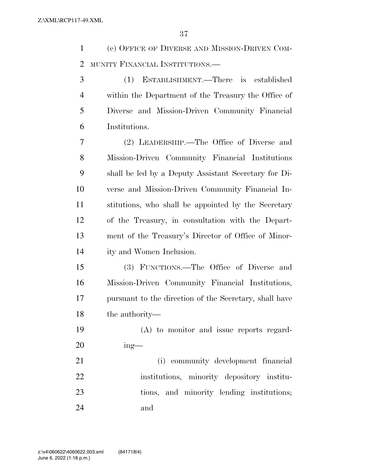(e) OFFICE OF DIVERSE AND MISSION-DRIVEN COM-MUNITY FINANCIAL INSTITUTIONS.—

 (1) ESTABLISHMENT.—There is established within the Department of the Treasury the Office of Diverse and Mission-Driven Community Financial Institutions.

 (2) LEADERSHIP.—The Office of Diverse and Mission-Driven Community Financial Institutions shall be led by a Deputy Assistant Secretary for Di- verse and Mission-Driven Community Financial In- stitutions, who shall be appointed by the Secretary of the Treasury, in consultation with the Depart- ment of the Treasury's Director of Office of Minor-ity and Women Inclusion.

 (3) FUNCTIONS.—The Office of Diverse and Mission-Driven Community Financial Institutions, pursuant to the direction of the Secretary, shall have the authority—

 (A) to monitor and issue reports regard-ing—

 (i) community development financial institutions, minority depository institu-23 tions, and minority lending institutions; and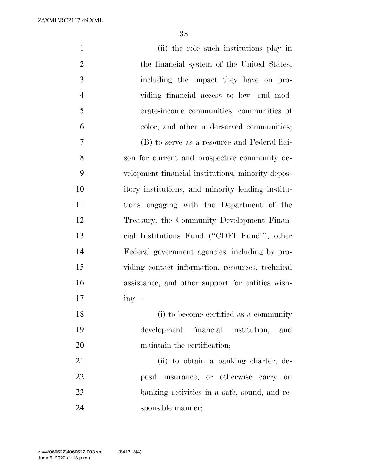| $\mathbf{1}$   | (ii) the role such institutions play in           |
|----------------|---------------------------------------------------|
| $\overline{2}$ | the financial system of the United States,        |
| 3              | including the impact they have on pro-            |
| $\overline{4}$ | viding financial access to low- and mod-          |
| 5              | erate-income communities, communities of          |
| 6              | color, and other underserved communities;         |
| 7              | (B) to serve as a resource and Federal liai-      |
| 8              | son for current and prospective community de-     |
| 9              | velopment financial institutions, minority depos- |
| 10             | itory institutions, and minority lending institu- |
| 11             | tions engaging with the Department of the         |
| 12             | Treasury, the Community Development Finan-        |
| 13             | cial Institutions Fund ("CDFI Fund"), other       |
| 14             | Federal government agencies, including by pro-    |
| 15             | viding contact information, resources, technical  |
| 16             | assistance, and other support for entities wish-  |
| 17             | $ing$ —                                           |
| 18             | (i) to become certified as a community            |
| 19             | development financial institution,<br>and         |
| 20             | maintain the certification;                       |
| 21             | (ii) to obtain a banking charter, de-             |
| 22             | posit insurance, or otherwise carry on            |
| 23             | banking activities in a safe, sound, and re-      |
| 24             | sponsible manner;                                 |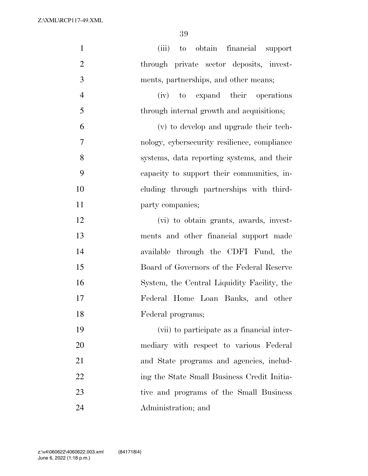| $\mathbf{1}$   | to obtain financial support<br>(iii)         |
|----------------|----------------------------------------------|
| $\mathbf{2}$   | through private sector deposits, invest-     |
| 3              | ments, partnerships, and other means;        |
| $\overline{4}$ | (iv) to expand their operations              |
| 5              | through internal growth and acquisitions;    |
| 6              | (v) to develop and upgrade their tech-       |
| $\overline{7}$ | nology, cybersecurity resilience, compliance |
| 8              | systems, data reporting systems, and their   |
| 9              | capacity to support their communities, in-   |
| 10             | cluding through partnerships with third-     |
| 11             | party companies;                             |
| 12             | (vi) to obtain grants, awards, invest-       |
| 13             | ments and other financial support made       |
| 14             | available through the CDFI Fund, the         |
| 15             | Board of Governors of the Federal Reserve    |
| 16             | System, the Central Liquidity Facility, the  |
| 17             | Federal Home Loan Banks, and other           |
| 18             | Federal programs;                            |
| 19             | (vii) to participate as a financial inter-   |
| 20             | mediary with respect to various Federal      |
| 21             | and State programs and agencies, includ-     |
| 22             | ing the State Small Business Credit Initia-  |
| 23             | tive and programs of the Small Business      |
| 24             | Administration; and                          |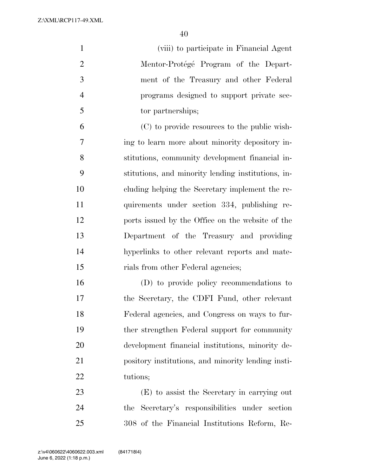| $\mathbf{1}$   | (viii) to participate in Financial Agent           |
|----------------|----------------------------------------------------|
| $\overline{2}$ | Mentor-Protégé Program of the Depart-              |
| 3              | ment of the Treasury and other Federal             |
| $\overline{4}$ | programs designed to support private sec-          |
| 5              | tor partnerships;                                  |
| 6              | (C) to provide resources to the public wish-       |
| 7              | ing to learn more about minority depository in-    |
| 8              | stitutions, community development financial in-    |
| 9              | stitutions, and minority lending institutions, in- |
| 10             | cluding helping the Secretary implement the re-    |
| 11             | quirements under section 334, publishing re-       |
| 12             | ports issued by the Office on the website of the   |
| 13             | Department of the Treasury and providing           |
| 14             | hyperlinks to other relevant reports and mate-     |
| 15             | rials from other Federal agencies;                 |
| 16             | (D) to provide policy recommendations to           |
| 17             | the Secretary, the CDFI Fund, other relevant       |
| 18             | Federal agencies, and Congress on ways to fur-     |
| 19             | ther strengthen Federal support for community      |
| 20             | development financial institutions, minority de-   |
| 21             | pository institutions, and minority lending insti- |
| 22             | tutions;                                           |
| 23             | (E) to assist the Secretary in carrying out        |
| 24             | the Secretary's responsibilities under section     |
| 25             | 308 of the Financial Institutions Reform, Re-      |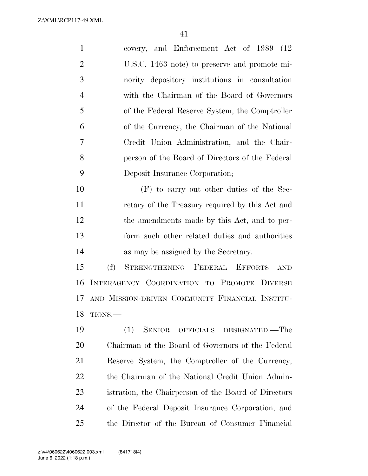| $\mathbf{1}$   | and Enforcement Act of 1989 (12<br>covery,                   |
|----------------|--------------------------------------------------------------|
| $\overline{2}$ | U.S.C. 1463 note) to preserve and promote mi-                |
| 3              | nority depository institutions in consultation               |
| $\overline{4}$ | with the Chairman of the Board of Governors                  |
| 5              | of the Federal Reserve System, the Comptroller               |
| 6              | of the Currency, the Chairman of the National                |
| 7              | Credit Union Administration, and the Chair-                  |
| 8              | person of the Board of Directors of the Federal              |
| 9              | Deposit Insurance Corporation;                               |
| 10             | (F) to carry out other duties of the Sec-                    |
| 11             | retary of the Treasury required by this Act and              |
| 12             | the amendments made by this Act, and to per-                 |
| 13             | form such other related duties and authorities               |
| 14             | as may be assigned by the Secretary.                         |
| 15             | (f)<br>STRENGTHENING FEDERAL<br><b>EFFORTS</b><br><b>AND</b> |
| 16             | INTERAGENCY COORDINATION TO PROMOTE DIVERSE                  |
| 17             | AND MISSION-DRIVEN COMMUNITY FINANCIAL INSTITU-              |
| 18             | TIONS.                                                       |
| 19             | (1)<br><b>SENIOR</b><br>DESIGNATED.—The<br>OFFICIALS         |
|                |                                                              |

 Chairman of the Board of Governors of the Federal Reserve System, the Comptroller of the Currency, the Chairman of the National Credit Union Admin- istration, the Chairperson of the Board of Directors of the Federal Deposit Insurance Corporation, and the Director of the Bureau of Consumer Financial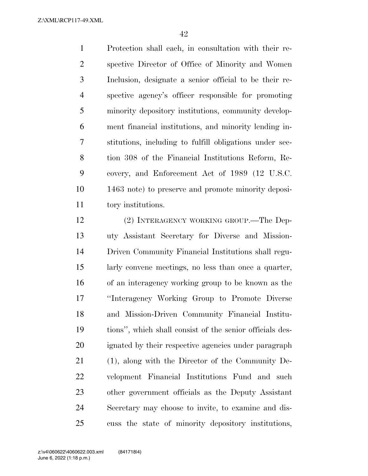Protection shall each, in consultation with their re- spective Director of Office of Minority and Women Inclusion, designate a senior official to be their re- spective agency's officer responsible for promoting minority depository institutions, community develop- ment financial institutions, and minority lending in- stitutions, including to fulfill obligations under sec- tion 308 of the Financial Institutions Reform, Re- covery, and Enforcement Act of 1989 (12 U.S.C. 1463 note) to preserve and promote minority deposi-tory institutions.

 (2) INTERAGENCY WORKING GROUP.—The Dep- uty Assistant Secretary for Diverse and Mission- Driven Community Financial Institutions shall regu- larly convene meetings, no less than once a quarter, of an interagency working group to be known as the ''Interagency Working Group to Promote Diverse and Mission-Driven Community Financial Institu- tions'', which shall consist of the senior officials des- ignated by their respective agencies under paragraph (1), along with the Director of the Community De- velopment Financial Institutions Fund and such other government officials as the Deputy Assistant Secretary may choose to invite, to examine and dis-cuss the state of minority depository institutions,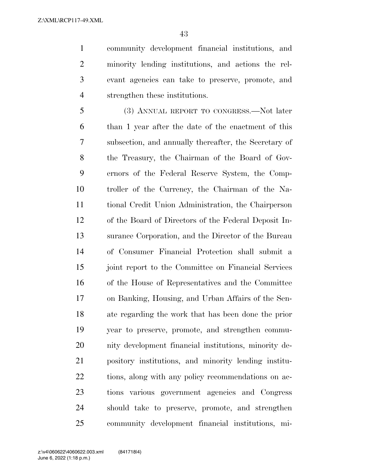community development financial institutions, and minority lending institutions, and actions the rel- evant agencies can take to preserve, promote, and strengthen these institutions.

 (3) ANNUAL REPORT TO CONGRESS.—Not later than 1 year after the date of the enactment of this subsection, and annually thereafter, the Secretary of the Treasury, the Chairman of the Board of Gov- ernors of the Federal Reserve System, the Comp- troller of the Currency, the Chairman of the Na- tional Credit Union Administration, the Chairperson of the Board of Directors of the Federal Deposit In- surance Corporation, and the Director of the Bureau of Consumer Financial Protection shall submit a joint report to the Committee on Financial Services of the House of Representatives and the Committee on Banking, Housing, and Urban Affairs of the Sen- ate regarding the work that has been done the prior year to preserve, promote, and strengthen commu- nity development financial institutions, minority de- pository institutions, and minority lending institu- tions, along with any policy recommendations on ac- tions various government agencies and Congress should take to preserve, promote, and strengthen community development financial institutions, mi-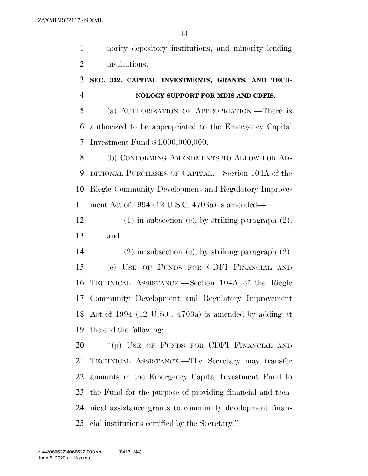nority depository institutions, and minority lending institutions.

## **SEC. 332. CAPITAL INVESTMENTS, GRANTS, AND TECH-NOLOGY SUPPORT FOR MDIS AND CDFIS.**

 (a) AUTHORIZATION OF APPROPRIATION.—There is authorized to be appropriated to the Emergency Capital Investment Fund \$4,000,000,000.

8 (b) CONFORMING AMENDMENTS TO ALLOW FOR AD- DITIONAL PURCHASES OF CAPITAL.—Section 104A of the Riegle Community Development and Regulatory Improve-ment Act of 1994 (12 U.S.C. 4703a) is amended—

 (1) in subsection (c), by striking paragraph (2); and

 (2) in subsection (e), by striking paragraph (2). (c) USE OF FUNDS FOR CDFI FINANCIAL AND TECHNICAL ASSISTANCE.—Section 104A of the Riegle Community Development and Regulatory Improvement Act of 1994 (12 U.S.C. 4703a) is amended by adding at the end the following:

20 "(p) USE OF FUNDS FOR CDFI FINANCIAL AND TECHNICAL ASSISTANCE.—The Secretary may transfer amounts in the Emergency Capital Investment Fund to the Fund for the purpose of providing financial and tech- nical assistance grants to community development finan-cial institutions certified by the Secretary.''.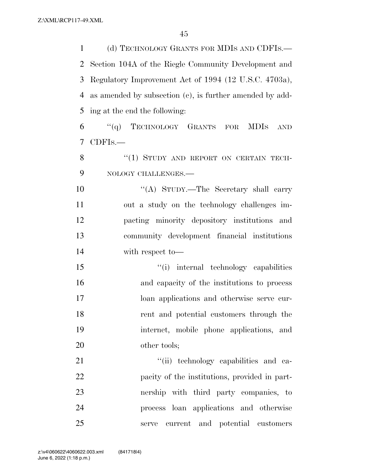(d) TECHNOLOGY GRANTS FOR MDIS AND CDFIS.— Section 104A of the Riegle Community Development and Regulatory Improvement Act of 1994 (12 U.S.C. 4703a), as amended by subsection (c), is further amended by add-ing at the end the following:

 ''(q) TECHNOLOGY GRANTS FOR MDIS AND CDFIS.—

8 "(1) STUDY AND REPORT ON CERTAIN TECH-NOLOGY CHALLENGES.—

10 ''(A) STUDY.—The Secretary shall carry out a study on the technology challenges im- pacting minority depository institutions and community development financial institutions with respect to—

 ''(i) internal technology capabilities and capacity of the institutions to process loan applications and otherwise serve cur- rent and potential customers through the internet, mobile phone applications, and 20 other tools;

 $\frac{1}{1}$  technology capabilities and ca- pacity of the institutions, provided in part- nership with third party companies, to process loan applications and otherwise serve current and potential customers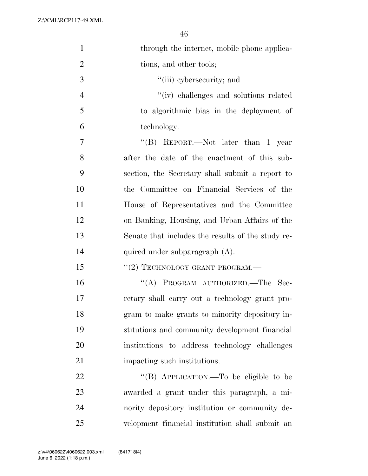| $\mathbf{1}$   | through the internet, mobile phone applica-       |
|----------------|---------------------------------------------------|
| $\overline{2}$ | tions, and other tools;                           |
| 3              | "(iii) cybersecurity; and                         |
| $\overline{4}$ | "(iv) challenges and solutions related            |
| 5              | to algorithmic bias in the deployment of          |
| 6              | technology.                                       |
| 7              | "(B) REPORT.—Not later than 1 year                |
| 8              | after the date of the enactment of this sub-      |
| 9              | section, the Secretary shall submit a report to   |
| 10             | the Committee on Financial Services of the        |
| 11             | House of Representatives and the Committee        |
| 12             | on Banking, Housing, and Urban Affairs of the     |
| 13             | Senate that includes the results of the study re- |
| 14             | quired under subparagraph (A).                    |
| 15             | $``(2)$ TECHNOLOGY GRANT PROGRAM.—                |
| 16             | "(A) PROGRAM AUTHORIZED.—The Sec-                 |
| 17             | retary shall carry out a technology grant pro-    |
| 18             | gram to make grants to minority depository in-    |
| 19             | stitutions and community development financial    |
| 20             | institutions to address technology challenges     |
| 21             | impacting such institutions.                      |
| 22             | "(B) APPLICATION.—To be eligible to be            |
| 23             | awarded a grant under this paragraph, a mi-       |
| 24             | nority depository institution or community de-    |
| 25             | velopment financial institution shall submit an   |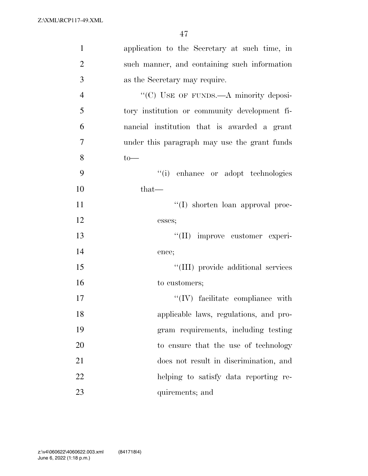| $\mathbf{1}$   | application to the Secretary at such time, in |
|----------------|-----------------------------------------------|
| $\overline{2}$ | such manner, and containing such information  |
| 3              | as the Secretary may require.                 |
| $\overline{4}$ | "(C) USE OF FUNDS.—A minority deposi-         |
| 5              | tory institution or community development fi- |
| 6              | nancial institution that is awarded a grant   |
| 7              | under this paragraph may use the grant funds  |
| 8              | $to-$                                         |
| 9              | "(i) enhance or adopt technologies            |
| 10             | $that-$                                       |
| 11             | "(I) shorten loan approval proc-              |
| 12             | esses;                                        |
| 13             | "(II) improve customer experi-                |
| 14             | ence;                                         |
| 15             | "(III) provide additional services            |
| 16             | to customers;                                 |
| 17             | $\lq\lq$ (IV) facilitate compliance with      |
| 18             | applicable laws, regulations, and pro-        |
| 19             | gram requirements, including testing          |
| 20             | to ensure that the use of technology          |
| 21             | does not result in discrimination, and        |
| 22             | helping to satisfy data reporting re-         |
| 23             | quirements; and                               |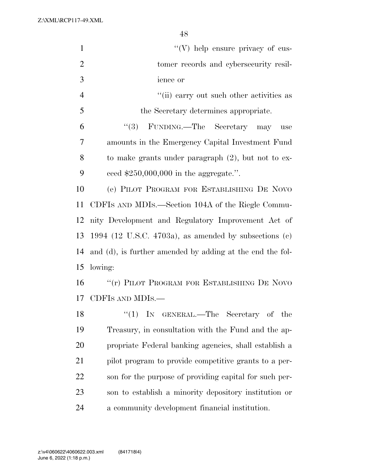| $\mathbf{1}$   | $\lq\lq(V)$ help ensure privacy of cus-                   |
|----------------|-----------------------------------------------------------|
| $\overline{2}$ | tomer records and cybersecurity resil-                    |
| 3              | ience or                                                  |
| $\overline{4}$ | "(ii) carry out such other activities as                  |
| 5              | the Secretary determines appropriate.                     |
| 6              | $\lq(3)$ FUNDING.—The Secretary<br>may<br>use             |
| 7              | amounts in the Emergency Capital Investment Fund          |
| 8              | to make grants under paragraph $(2)$ , but not to ex-     |
| 9              | ceed $$250,000,000$ in the aggregate.".                   |
| 10             | (e) PILOT PROGRAM FOR ESTABLISHING DE NOVO                |
| 11             | CDFIS AND MDIS.—Section 104A of the Riegle Commu-         |
| 12             | nity Development and Regulatory Improvement Act of        |
| 13             | 1994 (12 U.S.C. 4703a), as amended by subsections $(c)$   |
| 14             | and (d), is further amended by adding at the end the fol- |
| 15             | lowing:                                                   |
| 16             | "(r) PILOT PROGRAM FOR ESTABLISHING DE NOVO               |
| 17             | CDFIS AND MDIS.-                                          |
| 18             | "(1) IN GENERAL.—The Secretary of the                     |
| 19             | Treasury, in consultation with the Fund and the ap-       |
| 20             | propriate Federal banking agencies, shall establish a     |
| 21             | pilot program to provide competitive grants to a per-     |
| 22             | son for the purpose of providing capital for such per-    |
| 23             | son to establish a minority depository institution or     |
| 24             | a community development financial institution.            |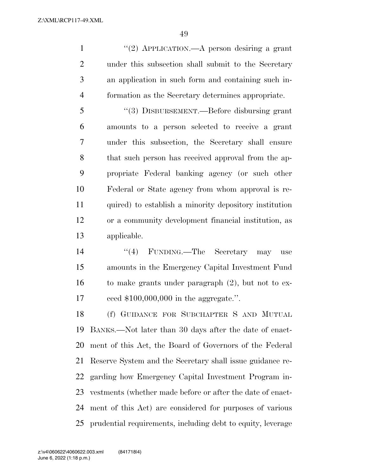''(2) APPLICATION.—A person desiring a grant under this subsection shall submit to the Secretary an application in such form and containing such in-formation as the Secretary determines appropriate.

 ''(3) DISBURSEMENT.—Before disbursing grant amounts to a person selected to receive a grant under this subsection, the Secretary shall ensure that such person has received approval from the ap- propriate Federal banking agency (or such other Federal or State agency from whom approval is re- quired) to establish a minority depository institution or a community development financial institution, as applicable.

14 ''(4) FUNDING.—The Secretary may use amounts in the Emergency Capital Investment Fund to make grants under paragraph (2), but not to ex-ceed \$100,000,000 in the aggregate.''.

 (f) GUIDANCE FOR SUBCHAPTER S AND MUTUAL BANKS.—Not later than 30 days after the date of enact- ment of this Act, the Board of Governors of the Federal Reserve System and the Secretary shall issue guidance re- garding how Emergency Capital Investment Program in- vestments (whether made before or after the date of enact- ment of this Act) are considered for purposes of various prudential requirements, including debt to equity, leverage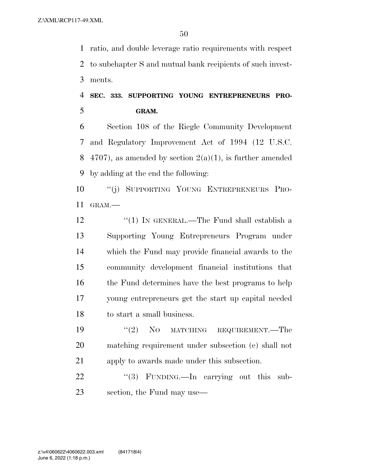ratio, and double leverage ratio requirements with respect to subchapter S and mutual bank recipients of such invest-ments.

# **SEC. 333. SUPPORTING YOUNG ENTREPRENEURS PRO-GRAM.**

 Section 108 of the Riegle Community Development and Regulatory Improvement Act of 1994 (12 U.S.C. 8 4707), as amended by section  $2(a)(1)$ , is further amended by adding at the end the following:

 ''(j) SUPPORTING YOUNG ENTREPRENEURS PRO-GRAM.—

12 "(1) IN GENERAL.—The Fund shall establish a Supporting Young Entrepreneurs Program under which the Fund may provide financial awards to the community development financial institutions that the Fund determines have the best programs to help young entrepreneurs get the start up capital needed to start a small business.

19 "(2) NO MATCHING REQUIREMENT.—The matching requirement under subsection (e) shall not apply to awards made under this subsection.

22 "(3) FUNDING.—In carrying out this sub-section, the Fund may use—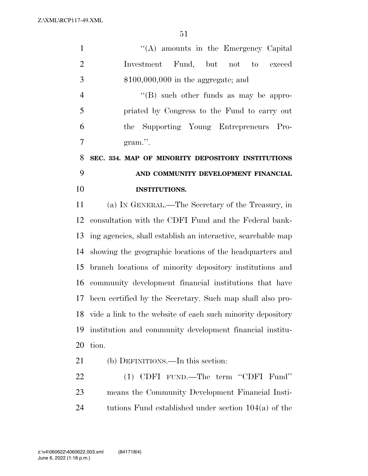| $\mathbf{1}$   | $\lq\lq$ amounts in the Emergency Capital                    |
|----------------|--------------------------------------------------------------|
| $\overline{2}$ | Investment Fund, but not to exceed                           |
| 3              | $$100,000,000$ in the aggregate; and                         |
| $\overline{4}$ | $\lq\lq$ (B) such other funds as may be appro-               |
| 5              | priated by Congress to the Fund to carry out                 |
| 6              | Supporting Young Entrepreneurs Pro-<br>the                   |
| 7              | gram.".                                                      |
| 8              | SEC. 334. MAP OF MINORITY DEPOSITORY INSTITUTIONS            |
| 9              | AND COMMUNITY DEVELOPMENT FINANCIAL                          |
| 10             | <b>INSTITUTIONS.</b>                                         |
| 11             | (a) IN GENERAL.—The Secretary of the Treasury, in            |
| 12             | consultation with the CDFI Fund and the Federal bank-        |
| 13             | ing agencies, shall establish an interactive, searchable map |
| 14             | showing the geographic locations of the headquarters and     |
| 15             | branch locations of minority depository institutions and     |
| 16             | community development financial institutions that have       |
|                | 17 been certified by the Secretary. Such map shall also pro- |
| 18             | vide a link to the website of each such minority depository  |
| 19             | institution and community development financial institu-     |
| 20             | tion.                                                        |
| 21             | (b) DEFINITIONS.—In this section:                            |
| 22             | (1) CDFI FUND.—The term "CDFI Fund"                          |
| 23             | means the Community Development Financial Insti-             |
| 24             | tutions Fund established under section $104(a)$ of the       |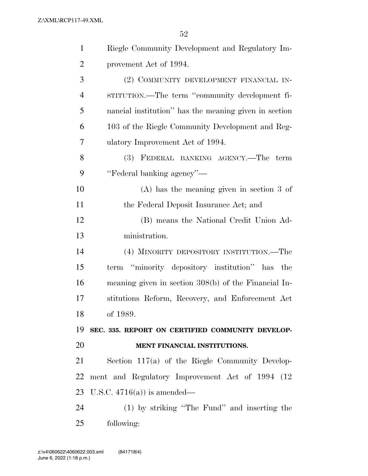| $\mathbf{1}$   | Riegle Community Development and Regulatory Im-        |
|----------------|--------------------------------------------------------|
| $\overline{2}$ | provement Act of 1994.                                 |
| 3              | (2) COMMUNITY DEVELOPMENT FINANCIAL IN-                |
| $\overline{4}$ | STITUTION.—The term "community development fi-         |
| 5              | nancial institution" has the meaning given in section  |
| 6              | 103 of the Riegle Community Development and Reg-       |
| 7              | ulatory Improvement Act of 1994.                       |
| 8              | (3) FEDERAL BANKING AGENCY.—The<br>term                |
| 9              | "Federal banking agency"—                              |
| 10             | $(A)$ has the meaning given in section 3 of            |
| 11             | the Federal Deposit Insurance Act; and                 |
| 12             | (B) means the National Credit Union Ad-                |
| 13             | ministration.                                          |
| 14             | (4) MINORITY DEPOSITORY INSTITUTION.—The               |
| 15             | term "minority depository institution" has the         |
| 16             | meaning given in section $308(b)$ of the Financial In- |
| 17             | stitutions Reform, Recovery, and Enforcement Act       |
| 18             | of 1989.                                               |
| 19             | SEC. 335. REPORT ON CERTIFIED COMMUNITY DEVELOP-       |
| 20             | MENT FINANCIAL INSTITUTIONS.                           |
| 21             | Section $117(a)$ of the Riegle Community Develop-      |
| 22             | ment and Regulatory Improvement Act of 1994 (12)       |
| 23             | U.S.C. $4716(a)$ is amended—                           |
| 24             | (1) by striking "The Fund" and inserting the           |
| 25             | following:                                             |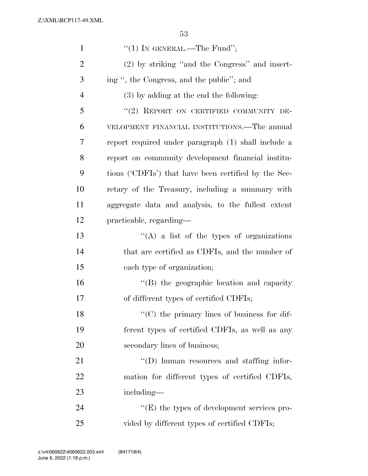| $\mathbf{1}$   | "(1) IN GENERAL.—The Fund";                          |
|----------------|------------------------------------------------------|
| $\overline{2}$ | (2) by striking "and the Congress" and insert-       |
| 3              | ing ", the Congress, and the public"; and            |
| $\overline{4}$ | (3) by adding at the end the following:              |
| 5              | "(2) REPORT ON CERTIFIED COMMUNITY DE-               |
| 6              | VELOPMENT FINANCIAL INSTITUTIONS.—The annual         |
| 7              | report required under paragraph (1) shall include a  |
| 8              | report on community development financial institu-   |
| 9              | tions ('CDFIs') that have been certified by the Sec- |
| 10             | retary of the Treasury, including a summary with     |
| 11             | aggregate data and analysis, to the fullest extent   |
| 12             | practicable, regarding—                              |
| 13             | $\lq\lq(A)$ a list of the types of organizations     |
| 14             | that are certified as CDFIs, and the number of       |
| 15             | each type of organization;                           |
| 16             | "(B) the geographic location and capacity            |
| 17             | of different types of certified CDFIs;               |
| 18             | "(C) the primary lines of business for dif-          |
| 19             | ferent types of certified CDFIs, as well as any      |
| 20             | secondary lines of business;                         |
| 21             | $\lq\lq$ (D) human resources and staffing infor-     |
| 22             | mation for different types of certified CDFIs,       |
| 23             | including—                                           |
| 24             | $\lq\lq(E)$ the types of development services pro-   |
| 25             | vided by different types of certified CDFIs;         |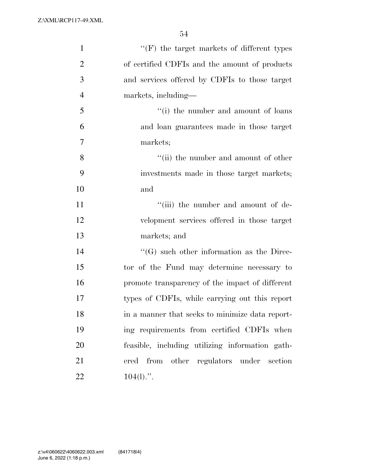| $\mathbf{1}$   | $``(F)$ the target markets of different types    |
|----------------|--------------------------------------------------|
| $\overline{2}$ | of certified CDFIs and the amount of products    |
| 3              | and services offered by CDFIs to those target    |
| $\overline{4}$ | markets, including—                              |
| 5              | "(i) the number and amount of loans"             |
| 6              | and loan guarantees made in those target         |
| 7              | markets;                                         |
| 8              | "(ii) the number and amount of other             |
| 9              | investments made in those target markets;        |
| 10             | and                                              |
| 11             | "(iii) the number and amount of de-              |
| 12             | velopment services offered in those target       |
| 13             | markets; and                                     |
| 14             | $\lq\lq(G)$ such other information as the Direc- |
| 15             | tor of the Fund may determine necessary to       |
| 16             | promote transparency of the impact of different  |
| 17             | types of CDFIs, while carrying out this report   |
| 18             | in a manner that seeks to minimize data report-  |
| 19             | ing requirements from certified CDFIs when       |
| 20             | feasible, including utilizing information gath-  |
| 21             | ered from other regulators under section         |
| 22             | $104(l)$ .".                                     |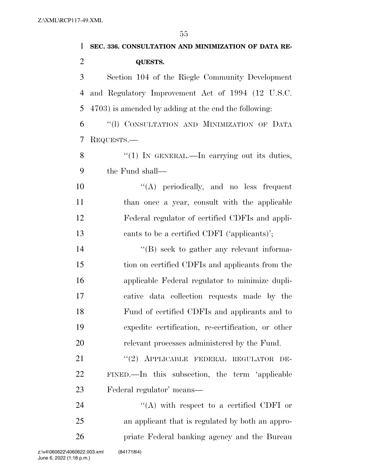| $\mathbf{1}$   | SEC. 336. CONSULTATION AND MINIMIZATION OF DATA RE-  |
|----------------|------------------------------------------------------|
| $\overline{2}$ | <b>QUESTS.</b>                                       |
| 3              | Section 104 of the Riegle Community Development      |
| $\overline{4}$ | and Regulatory Improvement Act of 1994 (12 U.S.C.    |
| 5              | 4703) is amended by adding at the end the following: |
| 6              | "(1) CONSULTATION AND MINIMIZATION OF DATA           |
| 7              | REQUESTS.—                                           |
| 8              | "(1) IN GENERAL.—In carrying out its duties,         |
| 9              | the Fund shall—                                      |
| 10             | "(A) periodically, and no less frequent              |
| 11             | than once a year, consult with the applicable        |
| 12             | Federal regulator of certified CDFIs and appli-      |
| 13             | cants to be a certified CDFI ('applicants)';         |
| 14             | $\lq\lq (B)$ seek to gather any relevant informa-    |
| 15             | tion on certified CDFIs and applicants from the      |
| 16             | applicable Federal regulator to minimize dupli-      |
| 17             | cative data collection requests made by the          |
| 18             | Fund of certified CDFIs and applicants and to        |
| 19             | expedite certification, re-certification, or other   |
| 20             | relevant processes administered by the Fund.         |
| 21             | "(2) APPLICABLE FEDERAL REGULATOR<br>DE-             |
| 22             | FINED.—In this subsection, the term 'applicable      |
| 23             | Federal regulator' means—                            |
| 24             | "(A) with respect to a certified CDFI or             |
| 25             | an applicant that is regulated by both an appro-     |
| 26             | priate Federal banking agency and the Bureau         |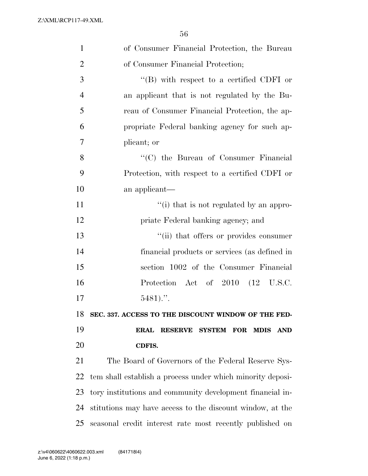| $\mathbf{1}$   | of Consumer Financial Protection, the Bureau                   |
|----------------|----------------------------------------------------------------|
| $\overline{2}$ | of Consumer Financial Protection;                              |
| 3              | $\lq\lq (B)$ with respect to a certified CDFI or               |
| $\overline{4}$ | an applicant that is not regulated by the Bu-                  |
| 5              | reau of Consumer Financial Protection, the ap-                 |
| 6              | propriate Federal banking agency for such ap-                  |
| 7              | plicant; or                                                    |
| 8              | "(C) the Bureau of Consumer Financial                          |
| 9              | Protection, with respect to a certified CDFI or                |
| 10             | an applicant—                                                  |
| 11             | "(i) that is not regulated by an appro-                        |
| 12             | priate Federal banking agency; and                             |
| 13             | "(ii) that offers or provides consumer                         |
| 14             | financial products or services (as defined in                  |
| 15             | section 1002 of the Consumer Financial                         |
| 16             | Protection Act of 2010 (12 U.S.C.                              |
| 17             | $5481$                                                         |
| 18             | SEC. 337. ACCESS TO THE DISCOUNT WINDOW OF THE FED-            |
| 19             | RESERVE SYSTEM FOR<br><b>ERAL</b><br><b>MDIS</b><br><b>AND</b> |
| 20             | CDFIS.                                                         |
| 21             | The Board of Governors of the Federal Reserve Sys-             |
| 22             | tem shall establish a process under which minority deposi-     |
| 23             | tory institutions and community development financial in-      |
| 24             | stitutions may have access to the discount window, at the      |
| 25             | seasonal credit interest rate most recently published on       |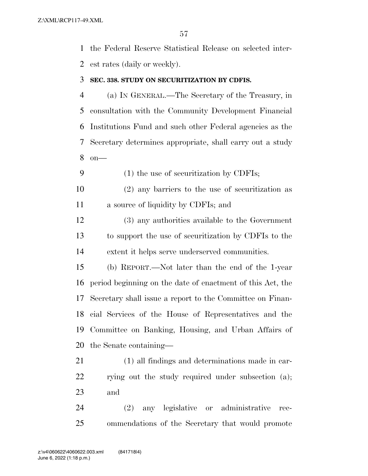the Federal Reserve Statistical Release on selected inter-est rates (daily or weekly).

#### **SEC. 338. STUDY ON SECURITIZATION BY CDFIS.**

 (a) IN GENERAL.—The Secretary of the Treasury, in consultation with the Community Development Financial Institutions Fund and such other Federal agencies as the Secretary determines appropriate, shall carry out a study on—

(1) the use of securitization by CDFIs;

 (2) any barriers to the use of securitization as a source of liquidity by CDFIs; and

 (3) any authorities available to the Government to support the use of securitization by CDFIs to the extent it helps serve underserved communities.

 (b) REPORT.—Not later than the end of the 1-year period beginning on the date of enactment of this Act, the Secretary shall issue a report to the Committee on Finan- cial Services of the House of Representatives and the Committee on Banking, Housing, and Urban Affairs of the Senate containing—

 (1) all findings and determinations made in car-22 rying out the study required under subsection (a); and

 (2) any legislative or administrative rec-ommendations of the Secretary that would promote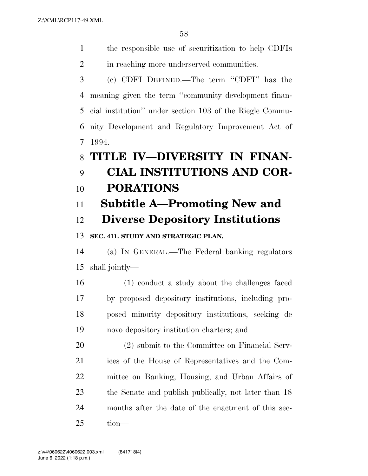the responsible use of securitization to help CDFIs

| $\overline{2}$ | in reaching more underserved communities.                |
|----------------|----------------------------------------------------------|
| 3              | (c) CDFI DEFINED.—The term "CDFI" has the                |
| $\overline{4}$ | meaning given the term "community development finan-     |
| 5              | cial institution" under section 103 of the Riegle Commu- |
| 6              | nity Development and Regulatory Improvement Act of       |
| 7              | 1994.                                                    |
| 8              | TITLE IV-DIVERSITY IN FINAN-                             |
| 9              | CIAL INSTITUTIONS AND COR-                               |
| 10             | <b>PORATIONS</b>                                         |
| 11             | <b>Subtitle A—Promoting New and</b>                      |
| 12             | <b>Diverse Depository Institutions</b>                   |
| 13             | SEC. 411. STUDY AND STRATEGIC PLAN.                      |
| 14             | (a) IN GENERAL.—The Federal banking regulators           |
| 15             | shall jointly—                                           |
| 16             | (1) conduct a study about the challenges faced           |
| 17             | by proposed depository institutions, including pro-      |
| 18             | posed minority depository institutions, seeking de       |
| 19             | novo depository institution charters; and                |
| 20             | (2) submit to the Committee on Financial Serv-           |
| 21             | ices of the House of Representatives and the Com-        |

 mittee on Banking, Housing, and Urban Affairs of 23 the Senate and publish publically, not later than 18

months after the date of the enactment of this sec-

tion—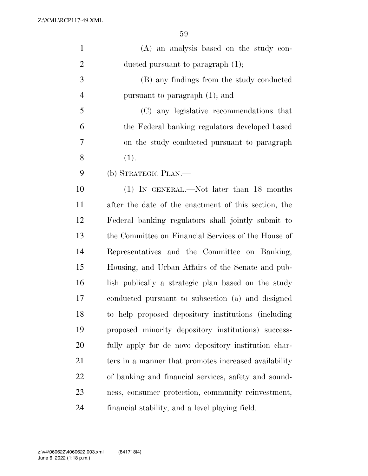| $\mathbf{1}$   | (A) an analysis based on the study con-               |
|----------------|-------------------------------------------------------|
| $\overline{2}$ | ducted pursuant to paragraph $(1)$ ;                  |
| 3              | (B) any findings from the study conducted             |
| $\overline{4}$ | pursuant to paragraph $(1)$ ; and                     |
| 5              | (C) any legislative recommendations that              |
| 6              | the Federal banking regulators developed based        |
| 7              | on the study conducted pursuant to paragraph          |
| 8              | (1).                                                  |
| 9              | (b) STRATEGIC PLAN.—                                  |
| 10             | (1) IN GENERAL.—Not later than 18 months              |
| 11             | after the date of the enactment of this section, the  |
| 12             | Federal banking regulators shall jointly submit to    |
| 13             | the Committee on Financial Services of the House of   |
| 14             | Representatives and the Committee on Banking,         |
| 15             | Housing, and Urban Affairs of the Senate and pub-     |
| 16             | lish publically a strategic plan based on the study   |
| 17             | conducted pursuant to subsection (a) and designed     |
| 18             | to help proposed depository institutions (including   |
| 19             | proposed minority depository institutions) success-   |
| 20             | fully apply for de novo depository institution char-  |
| 21             | ters in a manner that promotes increased availability |
| 22             | of banking and financial services, safety and sound-  |
| 23             | ness, consumer protection, community reinvestment,    |
| 24             | financial stability, and a level playing field.       |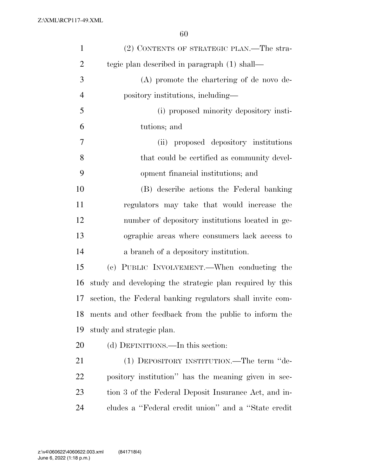| $\mathbf{1}$   | (2) CONTENTS OF STRATEGIC PLAN.—The stra-                 |
|----------------|-----------------------------------------------------------|
| $\overline{2}$ | tegic plan described in paragraph (1) shall—              |
| 3              | (A) promote the chartering of de novo de-                 |
| $\overline{4}$ | pository institutions, including—                         |
| 5              | (i) proposed minority depository insti-                   |
| 6              | tutions; and                                              |
| 7              | (ii) proposed depository institutions                     |
| 8              | that could be certified as community devel-               |
| 9              | opment financial institutions; and                        |
| 10             | (B) describe actions the Federal banking                  |
| 11             | regulators may take that would increase the               |
| 12             | number of depository institutions located in ge-          |
| 13             | ographic areas where consumers lack access to             |
| 14             | a branch of a depository institution.                     |
| 15             | (c) PUBLIC INVOLVEMENT.—When conducting the               |
| 16             | study and developing the strategic plan required by this  |
| 17             | section, the Federal banking regulators shall invite com- |
| 18             | ments and other feedback from the public to inform the    |
| 19             | study and strategic plan.                                 |
| 20             | (d) DEFINITIONS.—In this section:                         |
| 21             | (1) DEPOSITORY INSTITUTION.—The term "de-                 |
| 22             | pository institution" has the meaning given in sec-       |
| 23             | tion 3 of the Federal Deposit Insurance Act, and in-      |
| 24             | cludes a "Federal credit union" and a "State credit"      |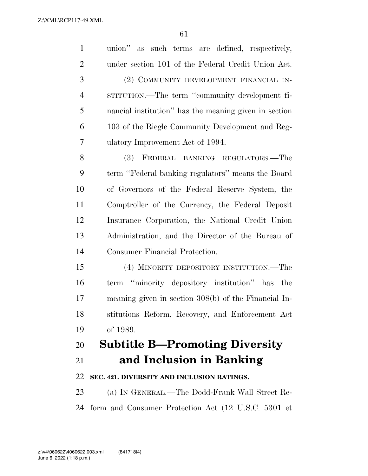| $\mathbf{1}$   | union" as such terms are defined, respectively,        |
|----------------|--------------------------------------------------------|
| $\overline{2}$ | under section 101 of the Federal Credit Union Act.     |
| 3              | (2) COMMUNITY DEVELOPMENT FINANCIAL IN-                |
| $\overline{4}$ | STITUTION.—The term "community development fi-         |
| 5              | nancial institution" has the meaning given in section  |
| 6              | 103 of the Riegle Community Development and Reg-       |
| 7              | ulatory Improvement Act of 1994.                       |
| 8              | (3) FEDERAL BANKING REGULATORS.—The                    |
| 9              | term "Federal banking regulators" means the Board      |
| 10             | of Governors of the Federal Reserve System, the        |
| 11             | Comptroller of the Currency, the Federal Deposit       |
| 12             | Insurance Corporation, the National Credit Union       |
| 13             | Administration, and the Director of the Bureau of      |
| 14             | Consumer Financial Protection.                         |
| 15             | (4) MINORITY DEPOSITORY INSTITUTION.—The               |
| 16             | term "minority depository institution" has<br>the      |
| 17             | meaning given in section $308(b)$ of the Financial In- |
| 18             | stitutions Reform, Recovery, and Enforcement Act       |
| 19             | of 1989.                                               |
| 20             | <b>Subtitle B—Promoting Diversity</b>                  |
| 21             | and Inclusion in Banking                               |
| 22             | SEC. 421. DIVERSITY AND INCLUSION RATINGS.             |
| 23             | (a) IN GENERAL.—The Dodd-Frank Wall Street Re-         |
| 24             | form and Consumer Protection Act (12 U.S.C. 5301 et    |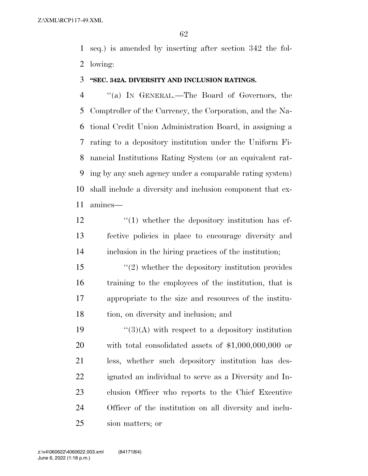seq.) is amended by inserting after section 342 the fol-lowing:

#### **''SEC. 342A. DIVERSITY AND INCLUSION RATINGS.**

 ''(a) IN GENERAL.—The Board of Governors, the Comptroller of the Currency, the Corporation, and the Na- tional Credit Union Administration Board, in assigning a rating to a depository institution under the Uniform Fi- nancial Institutions Rating System (or an equivalent rat- ing by any such agency under a comparable rating system) shall include a diversity and inclusion component that ex-amines—

- 12  $\frac{1}{2}$  (1) whether the depository institution has ef- fective policies in place to encourage diversity and inclusion in the hiring practices of the institution;
- ''(2) whether the depository institution provides training to the employees of the institution, that is appropriate to the size and resources of the institu-tion, on diversity and inclusion; and

 $\frac{1}{3}(A)$  with respect to a depository institution with total consolidated assets of \$1,000,000,000 or less, whether such depository institution has des- ignated an individual to serve as a Diversity and In- clusion Officer who reports to the Chief Executive Officer of the institution on all diversity and inclu-sion matters; or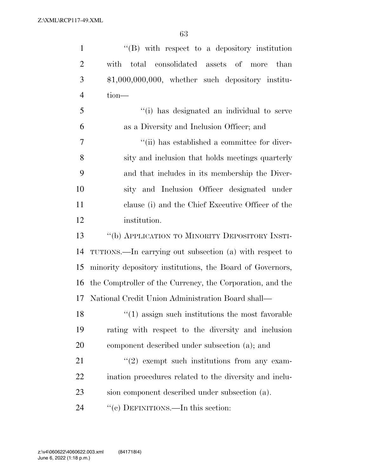| $\mathbf{1}$   | $\lq\lq (B)$ with respect to a depository institution     |
|----------------|-----------------------------------------------------------|
| $\overline{2}$ | with total consolidated assets of more<br>than            |
| 3              | $$1,000,000,000$ , whether such depository institu-       |
| $\overline{4}$ | tion-                                                     |
| 5              | "(i) has designated an individual to serve                |
| 6              | as a Diversity and Inclusion Officer; and                 |
| 7              | "(ii) has established a committee for diver-              |
| 8              | sity and inclusion that holds meetings quarterly          |
| 9              | and that includes in its membership the Diver-            |
| 10             | sity and Inclusion Officer designated under               |
| 11             | clause (i) and the Chief Executive Officer of the         |
| 12             | institution.                                              |
| 13             | "(b) APPLICATION TO MINORITY DEPOSITORY INSTI-            |
| 14             | TUTIONS.—In carrying out subsection (a) with respect to   |
| 15             | minority depository institutions, the Board of Governors, |
| 16             | the Comptroller of the Currency, the Corporation, and the |
| 17             | National Credit Union Administration Board shall—         |
| 18             | $"(1)$ assign such institutions the most favorable        |
| 19             | rating with respect to the diversity and inclusion        |
| 20             | component described under subsection (a); and             |
| 21             | $\lq(2)$ exempt such institutions from any exam-          |
| 22             | ination procedures related to the diversity and inclu-    |
| 23             | sion component described under subsection (a).            |
| 24             | "(c) DEFINITIONS.—In this section:                        |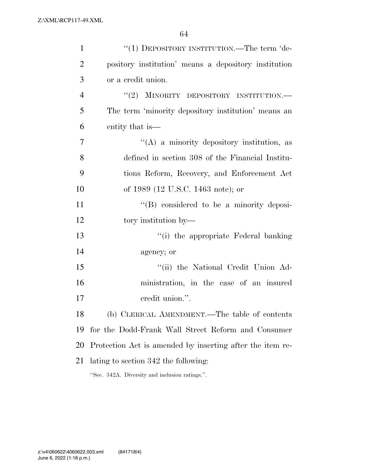| $\mathbf{1}$   | "(1) DEPOSITORY INSTITUTION.—The term 'de-                |
|----------------|-----------------------------------------------------------|
| $\overline{2}$ | pository institution' means a depository institution      |
| 3              | or a credit union.                                        |
| $\overline{4}$ | "(2) MINORITY DEPOSITORY INSTITUTION.-                    |
| 5              | The term 'minority depository institution' means an       |
| 6              | entity that is—                                           |
| 7              | $\lq\lq$ a minority depository institution, as            |
| 8              | defined in section 308 of the Financial Institu-          |
| 9              | tions Reform, Recovery, and Enforcement Act               |
| 10             | of 1989 (12 U.S.C. 1463 note); or                         |
| 11             | "(B) considered to be a minority deposi-                  |
| 12             | tory institution by—                                      |
| 13             | "(i) the appropriate Federal banking                      |
| 14             | agency; or                                                |
| 15             | "(ii) the National Credit Union Ad-                       |
| 16             | ministration, in the case of an insured                   |
| 17             | credit union.".                                           |
| 18             | (b) CLERICAL AMENDMENT.—The table of contents             |
| 19             | for the Dodd-Frank Wall Street Reform and Consumer        |
| 20             | Protection Act is amended by inserting after the item re- |
| 21             | lating to section 342 the following:                      |
|                | "Sec. 342A. Diversity and inclusion ratings.".            |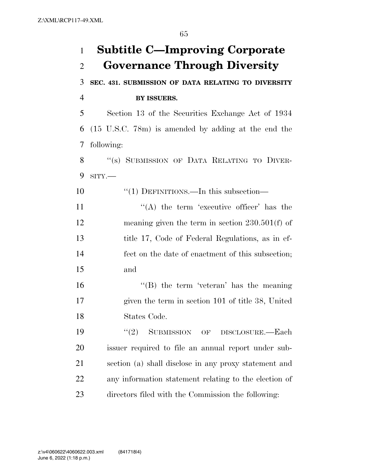**Subtitle C—Improving Corporate Governance Through Diversity SEC. 431. SUBMISSION OF DATA RELATING TO DIVERSITY BY ISSUERS.**  Section 13 of the Securities Exchange Act of 1934 (15 U.S.C. 78m) is amended by adding at the end the following: 8 "(s) SUBMISSION OF DATA RELATING TO DIVER- SITY.— 10 "(1) DEFINITIONS.—In this subsection—  $((A)$  the term 'executive officer' has the meaning given the term in section 230.501(f) of title 17, Code of Federal Regulations, as in ef- fect on the date of enactment of this subsection; and ''(B) the term 'veteran' has the meaning given the term in section 101 of title 38, United States Code. 19 "(2) SUBMISSION OF DISCLOSURE.—Each issuer required to file an annual report under sub- section (a) shall disclose in any proxy statement and any information statement relating to the election of directors filed with the Commission the following: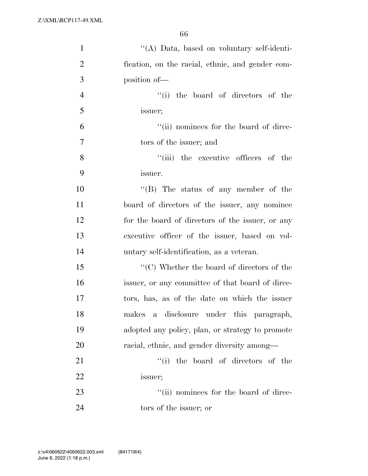| $\mathbf{1}$   | "(A) Data, based on voluntary self-identi-                      |
|----------------|-----------------------------------------------------------------|
| $\overline{2}$ | fication, on the racial, ethnic, and gender com-                |
| 3              | position of-                                                    |
| $\overline{4}$ | "(i) the board of directors of the                              |
| 5              | issuer;                                                         |
| 6              | "(ii) nominees for the board of direc-                          |
| $\overline{7}$ | tors of the issuer; and                                         |
| 8              | "(iii) the executive officers of the                            |
| 9              | issuer.                                                         |
| 10             | $\lq\lq$ (B) The status of any member of the                    |
| 11             | board of directors of the issuer, any nominee                   |
| 12             | for the board of directors of the issuer, or any                |
| 13             | executive officer of the issuer, based on vol-                  |
| 14             | untary self-identification, as a veteran.                       |
| 15             | $\lq\lq$ <sup>"</sup> (C) Whether the board of directors of the |
| 16             | issuer, or any committee of that board of direc-                |
| 17             | tors, has, as of the date on which the issuer                   |
| 18             | a disclosure under this paragraph,<br>makes                     |
| 19             | adopted any policy, plan, or strategy to promote                |
| 20             | racial, ethnic, and gender diversity among—                     |
| 21             | "(i) the board of directors of the                              |
| 22             | issuer;                                                         |
| 23             | "(ii) nominees for the board of direc-                          |
| 24             | tors of the issuer; or                                          |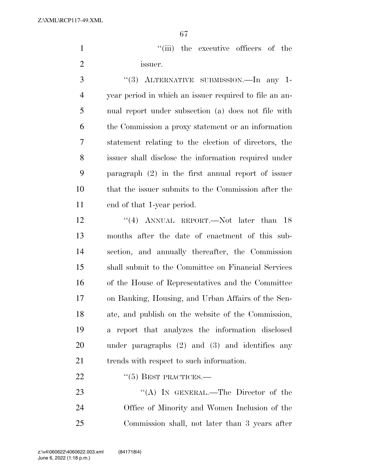1  $''(iii)$  the executive officers of the issuer.

 ''(3) ALTERNATIVE SUBMISSION.—In any 1- year period in which an issuer required to file an an- nual report under subsection (a) does not file with the Commission a proxy statement or an information statement relating to the election of directors, the issuer shall disclose the information required under paragraph (2) in the first annual report of issuer that the issuer submits to the Commission after the end of that 1-year period.

12 "(4) ANNUAL REPORT.—Not later than 18 months after the date of enactment of this sub- section, and annually thereafter, the Commission shall submit to the Committee on Financial Services of the House of Representatives and the Committee on Banking, Housing, and Urban Affairs of the Sen- ate, and publish on the website of the Commission, a report that analyzes the information disclosed under paragraphs (2) and (3) and identifies any 21 trends with respect to such information.

## 22 "(5) BEST PRACTICES.—

23 "(A) IN GENERAL.—The Director of the Office of Minority and Women Inclusion of the Commission shall, not later than 3 years after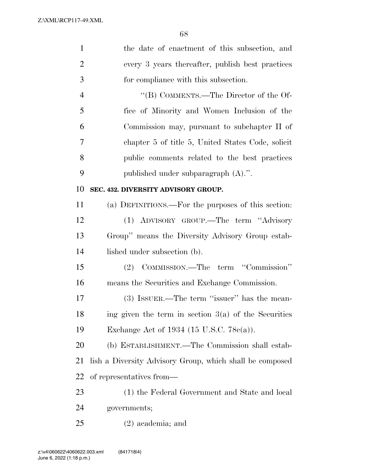| $\mathbf{1}$   | the date of enactment of this subsection, and            |
|----------------|----------------------------------------------------------|
| $\overline{2}$ | every 3 years thereafter, publish best practices         |
| 3              | for compliance with this subsection.                     |
| $\overline{4}$ | "(B) COMMENTS.—The Director of the Of-                   |
| 5              | fice of Minority and Women Inclusion of the              |
| 6              | Commission may, pursuant to subchapter II of             |
| 7              | chapter 5 of title 5, United States Code, solicit        |
| 8              | public comments related to the best practices            |
| 9              | published under subparagraph $(A)$ .".                   |
| 10             | SEC. 432. DIVERSITY ADVISORY GROUP.                      |
| 11             | (a) DEFINITIONS.—For the purposes of this section:       |
| 12             | (1) ADVISORY GROUP.—The term "Advisory                   |
| 13             | Group" means the Diversity Advisory Group estab-         |
| 14             | lished under subsection (b).                             |
| 15             | (2) COMMISSION.—The term "Commission"                    |
| 16             | means the Securities and Exchange Commission.            |
| 17             | (3) ISSUER.—The term "issuer" has the mean-              |
| 18             | ing given the term in section $3(a)$ of the Securities   |
| 19             | Exchange Act of 1934 (15 U.S.C. 78 $e(a)$ ).             |
| 20             | (b) ESTABLISHMENT.—The Commission shall estab-           |
| 21             | lish a Diversity Advisory Group, which shall be composed |
| 22             | of representatives from—                                 |
| 23             | (1) the Federal Government and State and local           |
| 24             | governments;                                             |
| 25             | $(2)$ academia; and                                      |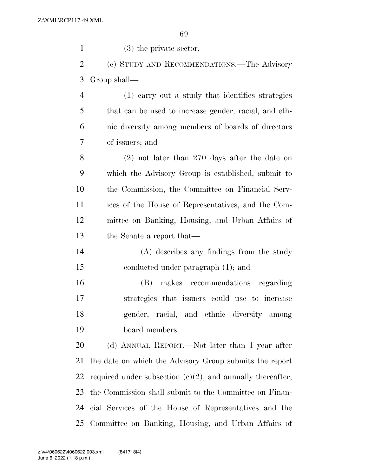(3) the private sector. (c) STUDY AND RECOMMENDATIONS.—The Advisory Group shall—

 (1) carry out a study that identifies strategies that can be used to increase gender, racial, and eth- nic diversity among members of boards of directors of issuers; and

 (2) not later than 270 days after the date on which the Advisory Group is established, submit to the Commission, the Committee on Financial Serv- ices of the House of Representatives, and the Com- mittee on Banking, Housing, and Urban Affairs of the Senate a report that—

 (A) describes any findings from the study conducted under paragraph (1); and

 (B) makes recommendations regarding strategies that issuers could use to increase gender, racial, and ethnic diversity among board members.

 (d) ANNUAL REPORT.—Not later than 1 year after the date on which the Advisory Group submits the report 22 required under subsection  $(c)(2)$ , and annually thereafter, the Commission shall submit to the Committee on Finan- cial Services of the House of Representatives and the Committee on Banking, Housing, and Urban Affairs of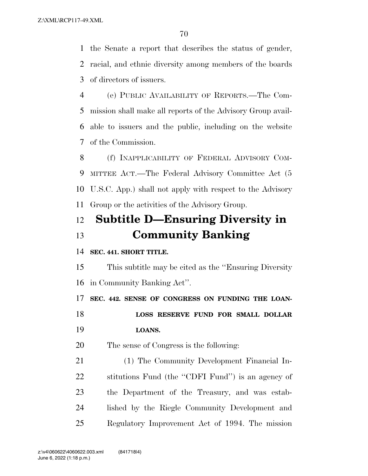the Senate a report that describes the status of gender, racial, and ethnic diversity among members of the boards of directors of issuers.

 (e) PUBLIC AVAILABILITY OF REPORTS.—The Com- mission shall make all reports of the Advisory Group avail- able to issuers and the public, including on the website of the Commission.

 (f) INAPPLICABILITY OF FEDERAL ADVISORY COM- MITTEE ACT.—The Federal Advisory Committee Act (5 U.S.C. App.) shall not apply with respect to the Advisory Group or the activities of the Advisory Group.

# **Subtitle D—Ensuring Diversity in Community Banking**

## **SEC. 441. SHORT TITLE.**

 This subtitle may be cited as the ''Ensuring Diversity in Community Banking Act''.

**SEC. 442. SENSE OF CONGRESS ON FUNDING THE LOAN-**

 **LOSS RESERVE FUND FOR SMALL DOLLAR LOANS.** 

The sense of Congress is the following:

 (1) The Community Development Financial In- stitutions Fund (the ''CDFI Fund'') is an agency of the Department of the Treasury, and was estab- lished by the Riegle Community Development and Regulatory Improvement Act of 1994. The mission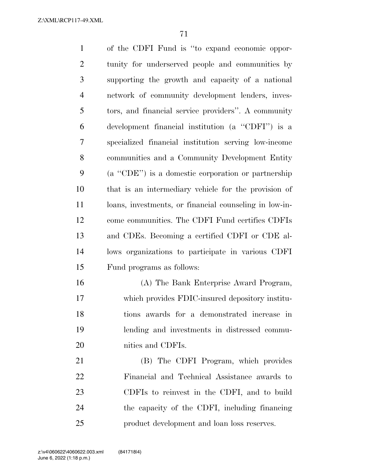| $\mathbf{1}$   | of the CDFI Fund is "to expand economic oppor-         |
|----------------|--------------------------------------------------------|
| $\overline{2}$ | tunity for underserved people and communities by       |
| 3              | supporting the growth and capacity of a national       |
| $\overline{4}$ | network of community development lenders, inves-       |
| 5              | tors, and financial service providers". A community    |
| 6              | development financial institution (a "CDFI") is a      |
| 7              | specialized financial institution serving low-income   |
| 8              | communities and a Community Development Entity         |
| 9              | (a "CDE") is a domestic corporation or partnership     |
| 10             | that is an intermediary vehicle for the provision of   |
| 11             | loans, investments, or financial counseling in low-in- |
| 12             | come communities. The CDFI Fund certifies CDFIs        |
| 13             | and CDEs. Becoming a certified CDFI or CDE al-         |
| 14             | lows organizations to participate in various CDFI      |
| 15             | Fund programs as follows:                              |
| 16             | (A) The Bank Enterprise Award Program,                 |
| 17             | which provides FDIC-insured depository institu-        |
| 18             | tions awards for a demonstrated increase in            |
| 19             | lending and investments in distressed commu-           |
| 20             | nities and CDFIs.                                      |
| 21             | (B) The CDFI Program, which provides                   |
| 22             | Financial and Technical Assistance awards to           |
| 23             | CDFIs to reinvest in the CDFI, and to build            |
| 24             | the capacity of the CDFI, including financing          |
| 25             | product development and loan loss reserves.            |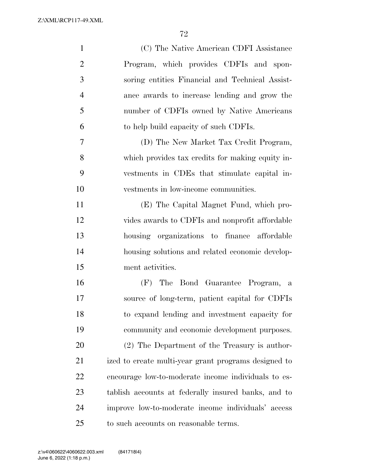| $\mathbf{1}$   | (C) The Native American CDFI Assistance              |
|----------------|------------------------------------------------------|
| $\overline{2}$ | Program, which provides CDFIs and spon-              |
| 3              | soring entities Financial and Technical Assist-      |
| $\overline{4}$ | ance awards to increase lending and grow the         |
| 5              | number of CDFIs owned by Native Americans            |
| 6              | to help build capacity of such CDFIs.                |
| 7              | (D) The New Market Tax Credit Program,               |
| 8              | which provides tax credits for making equity in-     |
| 9              | vestments in CDEs that stimulate capital in-         |
| 10             | vestments in low-income communities.                 |
| 11             | (E) The Capital Magnet Fund, which pro-              |
| 12             | vides awards to CDFIs and nonprofit affordable       |
| 13             | housing organizations to finance affordable          |
| 14             | housing solutions and related economic develop-      |
| 15             | ment activities.                                     |
| 16             | (F) The Bond Guarantee Program, a                    |
| 17             | source of long-term, patient capital for CDFIs       |
| 18             | to expand lending and investment capacity for        |
| 19             | community and economic development purposes.         |
| 20             | (2) The Department of the Treasury is author-        |
| 21             | ized to create multi-year grant programs designed to |
| 22             | encourage low-to-moderate income individuals to es-  |
| 23             | tablish accounts at federally insured banks, and to  |
| 24             | improve low-to-moderate income individuals' access   |
| 25             | to such accounts on reasonable terms.                |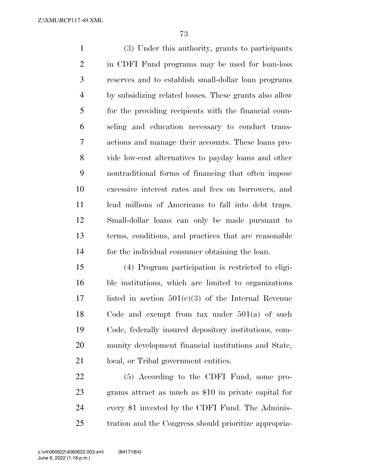Z:\XML\RCP117-49.XML

 (3) Under this authority, grants to participants in CDFI Fund programs may be used for loan-loss reserves and to establish small-dollar loan programs by subsidizing related losses. These grants also allow for the providing recipients with the financial coun- seling and education necessary to conduct trans- actions and manage their accounts. These loans pro- vide low-cost alternatives to payday loans and other nontraditional forms of financing that often impose excessive interest rates and fees on borrowers, and lead millions of Americans to fall into debt traps. Small-dollar loans can only be made pursuant to terms, conditions, and practices that are reasonable for the individual consumer obtaining the loan.

 (4) Program participation is restricted to eligi- ble institutions, which are limited to organizations 17 listed in section  $501(c)(3)$  of the Internal Revenue Code and exempt from tax under 501(a) of such Code, federally insured depository institutions, com- munity development financial institutions and State, local, or Tribal government entities.

 (5) According to the CDFI Fund, some pro- grams attract as much as \$10 in private capital for every \$1 invested by the CDFI Fund. The Adminis-tration and the Congress should prioritize appropria-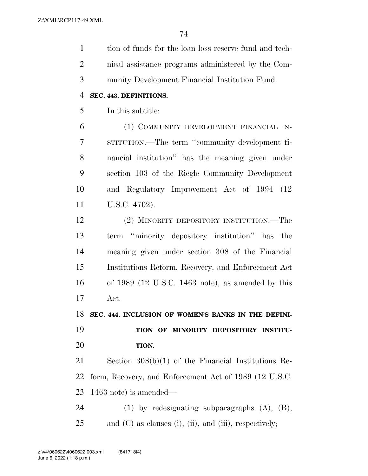tion of funds for the loan loss reserve fund and tech- nical assistance programs administered by the Com- munity Development Financial Institution Fund. **SEC. 443. DEFINITIONS.** 

In this subtitle:

 (1) COMMUNITY DEVELOPMENT FINANCIAL IN- STITUTION.—The term ''community development fi- nancial institution'' has the meaning given under section 103 of the Riegle Community Development and Regulatory Improvement Act of 1994 (12 U.S.C. 4702).

 (2) MINORITY DEPOSITORY INSTITUTION.—The term ''minority depository institution'' has the meaning given under section 308 of the Financial Institutions Reform, Recovery, and Enforcement Act of 1989 (12 U.S.C. 1463 note), as amended by this Act.

**SEC. 444. INCLUSION OF WOMEN'S BANKS IN THE DEFINI-**

## **TION OF MINORITY DEPOSITORY INSTITU-TION.**

 Section 308(b)(1) of the Financial Institutions Re- form, Recovery, and Enforcement Act of 1989 (12 U.S.C. 1463 note) is amended—

 (1) by redesignating subparagraphs (A), (B), 25 and (C) as clauses (i), (ii), and (iii), respectively;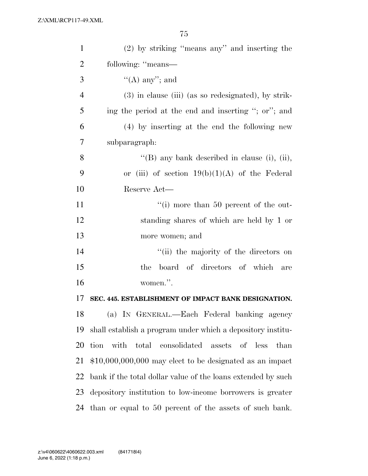| $\mathbf{1}$   | $(2)$ by striking "means any" and inserting the              |
|----------------|--------------------------------------------------------------|
| $\overline{2}$ | following: "means—                                           |
| 3              | $\lq\lq$ (A) any''; and                                      |
| $\overline{4}$ | $(3)$ in clause (iii) (as so redesignated), by strik-        |
| 5              | ing the period at the end and inserting "; or"; and          |
| 6              | (4) by inserting at the end the following new                |
| 7              | subparagraph:                                                |
| 8              | "(B) any bank described in clause (i), (ii),                 |
| 9              | or (iii) of section $19(b)(1)(A)$ of the Federal             |
| 10             | Reserve Act—                                                 |
| 11             | $\lq\lq$ more than 50 percent of the out-                    |
| 12             | standing shares of which are held by 1 or                    |
| 13             | more women; and                                              |
| 14             | "(ii) the majority of the directors on                       |
| 15             | board of directors of which<br>the<br>are                    |
| 16             | women.".                                                     |
| 17             | SEC. 445. ESTABLISHMENT OF IMPACT BANK DESIGNATION.          |
| 18             | (a) IN GENERAL.—Each Federal banking agency                  |
| 19             | shall establish a program under which a depository institu-  |
| 20             | total consolidated assets of less<br>tion with<br>than       |
| 21             | $$10,000,000,000$ may elect to be designated as an impact    |
| 22             | bank if the total dollar value of the loans extended by such |
| 23             | depository institution to low-income borrowers is greater    |
| 24             | than or equal to 50 percent of the assets of such bank.      |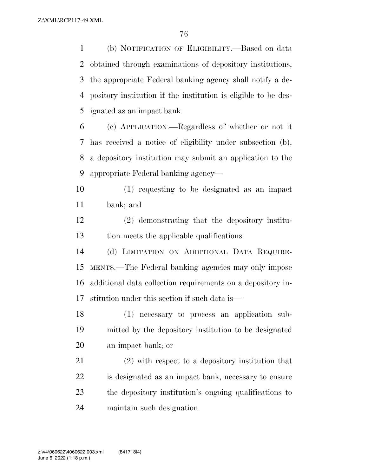(b) NOTIFICATION OF ELIGIBILITY.—Based on data obtained through examinations of depository institutions, the appropriate Federal banking agency shall notify a de- pository institution if the institution is eligible to be des-ignated as an impact bank.

 (c) APPLICATION.—Regardless of whether or not it has received a notice of eligibility under subsection (b), a depository institution may submit an application to the appropriate Federal banking agency—

 (1) requesting to be designated as an impact bank; and

 (2) demonstrating that the depository institu-tion meets the applicable qualifications.

 (d) LIMITATION ON ADDITIONAL DATA REQUIRE- MENTS.—The Federal banking agencies may only impose additional data collection requirements on a depository in-stitution under this section if such data is—

 (1) necessary to process an application sub- mitted by the depository institution to be designated an impact bank; or

 (2) with respect to a depository institution that is designated as an impact bank, necessary to ensure the depository institution's ongoing qualifications to maintain such designation.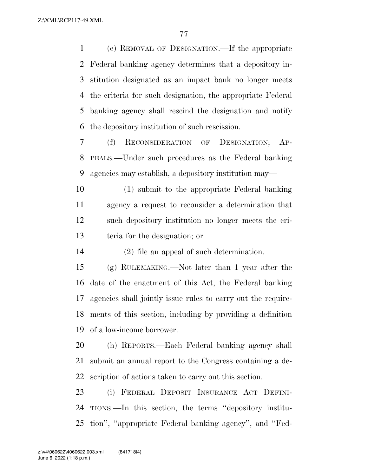(e) REMOVAL OF DESIGNATION.—If the appropriate Federal banking agency determines that a depository in- stitution designated as an impact bank no longer meets the criteria for such designation, the appropriate Federal banking agency shall rescind the designation and notify the depository institution of such rescission.

 (f) RECONSIDERATION OF DESIGNATION; AP- PEALS.—Under such procedures as the Federal banking agencies may establish, a depository institution may—

 (1) submit to the appropriate Federal banking agency a request to reconsider a determination that such depository institution no longer meets the cri-teria for the designation; or

(2) file an appeal of such determination.

 (g) RULEMAKING.—Not later than 1 year after the date of the enactment of this Act, the Federal banking agencies shall jointly issue rules to carry out the require- ments of this section, including by providing a definition of a low-income borrower.

 (h) REPORTS.—Each Federal banking agency shall submit an annual report to the Congress containing a de-scription of actions taken to carry out this section.

 (i) FEDERAL DEPOSIT INSURANCE ACT DEFINI- TIONS.—In this section, the terms ''depository institu-tion'', ''appropriate Federal banking agency'', and ''Fed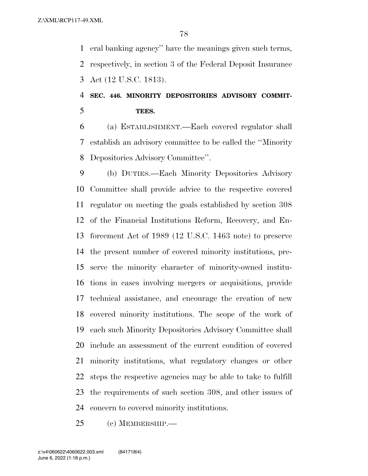eral banking agency'' have the meanings given such terms, respectively, in section 3 of the Federal Deposit Insurance Act (12 U.S.C. 1813).

### **SEC. 446. MINORITY DEPOSITORIES ADVISORY COMMIT-TEES.**

 (a) ESTABLISHMENT.—Each covered regulator shall establish an advisory committee to be called the ''Minority Depositories Advisory Committee''.

 (b) DUTIES.—Each Minority Depositories Advisory Committee shall provide advice to the respective covered regulator on meeting the goals established by section 308 of the Financial Institutions Reform, Recovery, and En- forcement Act of 1989 (12 U.S.C. 1463 note) to preserve the present number of covered minority institutions, pre- serve the minority character of minority-owned institu- tions in cases involving mergers or acquisitions, provide technical assistance, and encourage the creation of new covered minority institutions. The scope of the work of each such Minority Depositories Advisory Committee shall include an assessment of the current condition of covered minority institutions, what regulatory changes or other steps the respective agencies may be able to take to fulfill the requirements of such section 308, and other issues of concern to covered minority institutions.

(c) MEMBERSHIP.—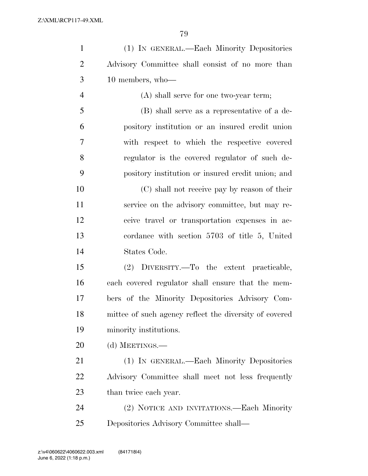| $\mathbf{1}$   | (1) IN GENERAL.—Each Minority Depositories             |
|----------------|--------------------------------------------------------|
| $\overline{2}$ | Advisory Committee shall consist of no more than       |
| 3              | 10 members, who-                                       |
| $\overline{4}$ | $(A)$ shall serve for one two-year term;               |
| 5              | (B) shall serve as a representative of a de-           |
| 6              | pository institution or an insured credit union        |
| $\tau$         | with respect to which the respective covered           |
| 8              | regulator is the covered regulator of such de-         |
| 9              | pository institution or insured credit union; and      |
| 10             | (C) shall not receive pay by reason of their           |
| 11             | service on the advisory committee, but may re-         |
| 12             | ceive travel or transportation expenses in ac-         |
| 13             | cordance with section 5703 of title 5, United          |
| 14             | States Code.                                           |
| 15             | DIVERSITY.—To the extent practicable,<br>(2)           |
| 16             | each covered regulator shall ensure that the mem-      |
| 17             | bers of the Minority Depositories Advisory Com-        |
| 18             | mittee of such agency reflect the diversity of covered |
| 19             | minority institutions.                                 |
| 20             | (d) MEETINGS.—                                         |
| 21             | (1) IN GENERAL.—Each Minority Depositories             |
| 22             | Advisory Committee shall meet not less frequently      |
| 23             | than twice each year.                                  |
| 24             | (2) NOTICE AND INVITATIONS.—Each Minority              |
| 25             | Depositories Advisory Committee shall—                 |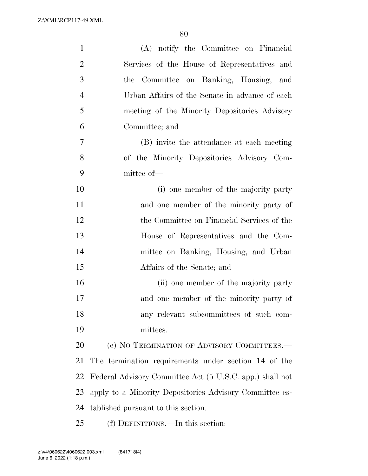| $\mathbf{1}$   | (A) notify the Committee on Financial                    |
|----------------|----------------------------------------------------------|
| $\overline{2}$ | Services of the House of Representatives and             |
| 3              | Committee on Banking, Housing, and<br>the                |
| $\overline{4}$ | Urban Affairs of the Senate in advance of each           |
| 5              | meeting of the Minority Depositories Advisory            |
| 6              | Committee; and                                           |
| $\overline{7}$ | (B) invite the attendance at each meeting                |
| 8              | of the Minority Depositories Advisory Com-               |
| 9              | mittee of-                                               |
| 10             | (i) one member of the majority party                     |
| 11             | and one member of the minority party of                  |
| 12             | the Committee on Financial Services of the               |
| 13             | House of Representatives and the Com-                    |
| 14             | mittee on Banking, Housing, and Urban                    |
| 15             | Affairs of the Senate; and                               |
| 16             | (ii) one member of the majority party                    |
| 17             | and one member of the minority party of                  |
| 18             | any relevant subcommittees of such com-                  |
| 19             | mittees.                                                 |
| 20             | (e) NO TERMINATION OF ADVISORY COMMITTEES.-              |
| 21             | The termination requirements under section 14 of the     |
| 22             | Federal Advisory Committee Act (5 U.S.C. app.) shall not |
| 23             | apply to a Minority Depositories Advisory Committee es-  |
| 24             | tablished pursuant to this section.                      |
| 25             | (f) DEFINITIONS.—In this section:                        |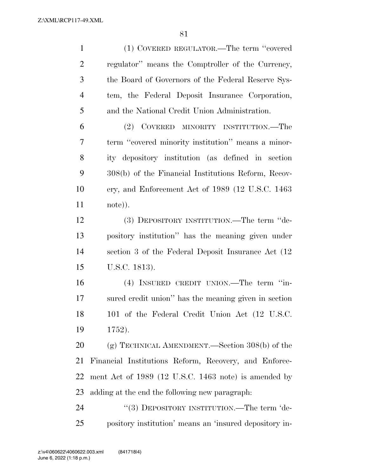Z:\XML\RCP117-49.XML

| $\mathbf{1}$   | (1) COVERED REGULATOR.—The term "covered               |
|----------------|--------------------------------------------------------|
| $\overline{2}$ | regulator" means the Comptroller of the Currency,      |
| 3              | the Board of Governors of the Federal Reserve Sys-     |
| $\overline{4}$ | tem, the Federal Deposit Insurance Corporation,        |
| 5              | and the National Credit Union Administration.          |
| 6              | (2) COVERED MINORITY INSTITUTION.—The                  |
| $\tau$         | term "covered minority institution" means a minor-     |
| 8              | ity depository institution (as defined in section      |
| 9              | 308(b) of the Financial Institutions Reform, Recov-    |
| 10             | ery, and Enforcement Act of 1989 (12 U.S.C. 1463)      |
| 11             | note)).                                                |
| 12             | (3) DEPOSITORY INSTITUTION.—The term "de-              |
| 13             | pository institution" has the meaning given under      |
| 14             | section 3 of the Federal Deposit Insurance Act (12)    |
| 15             | U.S.C. 1813).                                          |
| 16             | (4) INSURED CREDIT UNION.—The term "in-                |
| 17             | sured credit union" has the meaning given in section   |
| 18             | 101 of the Federal Credit Union Act (12 U.S.C.         |
| 19             | 1752).                                                 |
| 20             | (g) TECHNICAL AMENDMENT.—Section $308(b)$ of the       |
| 21             | Financial Institutions Reform, Recovery, and Enforce-  |
| 22             | ment Act of 1989 (12 U.S.C. 1463 note) is amended by   |
| 23             | adding at the end the following new paragraph:         |
| 24             | "(3) DEPOSITORY INSTITUTION.—The term 'de-             |
| 25             | pository institution' means an 'insured depository in- |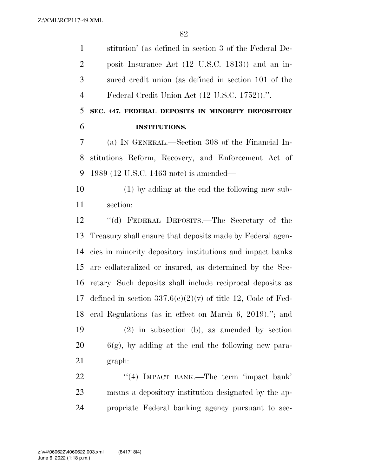stitution' (as defined in section 3 of the Federal De- posit Insurance Act (12 U.S.C. 1813)) and an in- sured credit union (as defined in section 101 of the Federal Credit Union Act (12 U.S.C. 1752)).''.

 **SEC. 447. FEDERAL DEPOSITS IN MINORITY DEPOSITORY INSTITUTIONS.** 

 (a) IN GENERAL.—Section 308 of the Financial In- stitutions Reform, Recovery, and Enforcement Act of 1989 (12 U.S.C. 1463 note) is amended—

 (1) by adding at the end the following new sub-section:

 ''(d) FEDERAL DEPOSITS.—The Secretary of the Treasury shall ensure that deposits made by Federal agen- cies in minority depository institutions and impact banks are collateralized or insured, as determined by the Sec- retary. Such deposits shall include reciprocal deposits as 17 defined in section  $337.6(e)(2)(v)$  of title 12, Code of Fed- eral Regulations (as in effect on March 6, 2019).''; and (2) in subsection (b), as amended by section  $20 \qquad 6(g)$ , by adding at the end the following new para-graph:

22 "(4) IMPACT BANK.—The term 'impact bank' means a depository institution designated by the ap-propriate Federal banking agency pursuant to sec-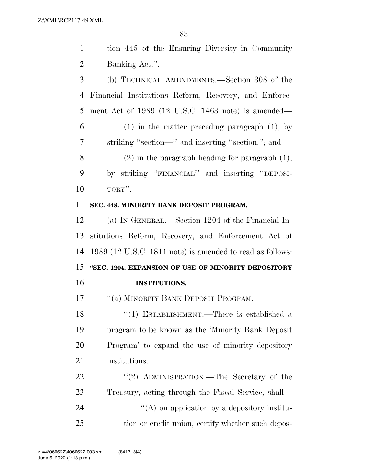| $\mathbf{1}$   | tion 445 of the Ensuring Diversity in Community           |
|----------------|-----------------------------------------------------------|
| $\overline{2}$ | Banking Act.".                                            |
| 3              | (b) TECHNICAL AMENDMENTS.—Section 308 of the              |
| 4              | Financial Institutions Reform, Recovery, and Enforce-     |
| 5              | ment Act of $1989$ (12 U.S.C. 1463 note) is amended—      |
| 6              | $(1)$ in the matter preceding paragraph $(1)$ , by        |
| 7              | striking "section—" and inserting "section:"; and         |
| 8              | $(2)$ in the paragraph heading for paragraph $(1)$ ,      |
| 9              | by striking "FINANCIAL" and inserting "DEPOSI-            |
| 10             | TORY".                                                    |
| 11             | SEC. 448. MINORITY BANK DEPOSIT PROGRAM.                  |
| 12             | (a) IN GENERAL.—Section 1204 of the Financial In-         |
| 13             | stitutions Reform, Recovery, and Enforcement Act of       |
| 14             | 1989 (12 U.S.C. 1811 note) is amended to read as follows: |
| 15             | "SEC. 1204. EXPANSION OF USE OF MINORITY DEPOSITORY       |
| 16             | <b>INSTITUTIONS.</b>                                      |
| 17             | "(a) MINORITY BANK DEPOSIT PROGRAM.-                      |
| 18             | "(1) ESTABLISHMENT.—There is established a                |
| 19             | program to be known as the 'Minority Bank Deposit         |
| 20             | Program' to expand the use of minority depository         |
| 21             | institutions.                                             |
| 22             | "(2) ADMINISTRATION.—The Secretary of the                 |
| 23             | Treasury, acting through the Fiscal Service, shall—       |
| 24             | $\lq\lq$ on application by a depository institu-          |
| 25             | tion or credit union, certify whether such depos-         |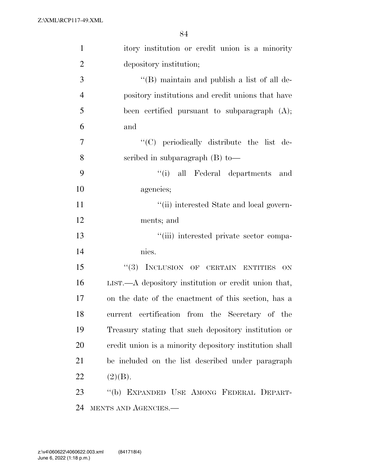| $\mathbf{1}$   | itory institution or credit union is a minority         |
|----------------|---------------------------------------------------------|
| $\overline{2}$ | depository institution;                                 |
| 3              | "(B) maintain and publish a list of all de-             |
| $\overline{4}$ | pository institutions and credit unions that have       |
| 5              | been certified pursuant to subparagraph $(A)$ ;         |
| 6              | and                                                     |
| $\overline{7}$ | "(C) periodically distribute the list de-               |
| 8              | scribed in subparagraph (B) to-                         |
| 9              | "(i) all Federal departments and                        |
| 10             | agencies;                                               |
| 11             | "(ii) interested State and local govern-                |
| 12             | ments; and                                              |
| 13             | "(iii) interested private sector compa-                 |
| 14             | nies.                                                   |
| 15             | "(3) INCLUSION OF CERTAIN ENTITIES<br>ON                |
| 16             | LIST.—A depository institution or credit union that,    |
| 17             | on the date of the enactment of this section, has a     |
| 18             | current certification from the Secretary of the         |
| 19             | Treasury stating that such depository institution or    |
| 20             | credit union is a minority depository institution shall |
| 21             | be included on the list described under paragraph       |
| 22             | (2)(B).                                                 |
| 23             | "(b) EXPANDED USE AMONG FEDERAL DEPART-                 |
| 24             | MENTS AND AGENCIES.-                                    |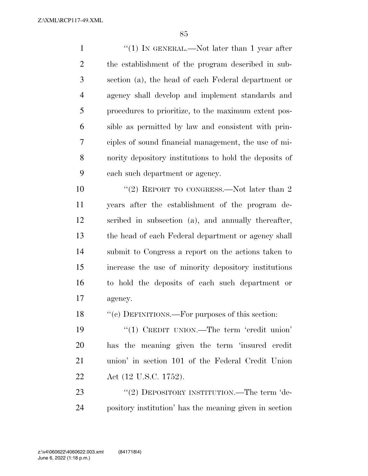Z:\XML\RCP117-49.XML

1 ''(1) IN GENERAL.—Not later than 1 year after the establishment of the program described in sub- section (a), the head of each Federal department or agency shall develop and implement standards and procedures to prioritize, to the maximum extent pos- sible as permitted by law and consistent with prin- ciples of sound financial management, the use of mi- nority depository institutions to hold the deposits of each such department or agency.

10 ''(2) REPORT TO CONGRESS.—Not later than 2 years after the establishment of the program de- scribed in subsection (a), and annually thereafter, the head of each Federal department or agency shall submit to Congress a report on the actions taken to increase the use of minority depository institutions to hold the deposits of each such department or agency.

18 "(c) DEFINITIONS.—For purposes of this section:

19 "(1) CREDIT UNION.—The term 'credit union' has the meaning given the term 'insured credit union' in section 101 of the Federal Credit Union Act (12 U.S.C. 1752).

23 "(2) DEPOSITORY INSTITUTION.—The term 'de-pository institution' has the meaning given in section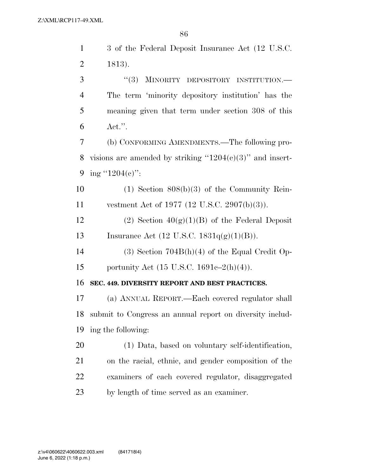| 1              | 3 of the Federal Deposit Insurance Act (12 U.S.C.)           |
|----------------|--------------------------------------------------------------|
| $\overline{2}$ | 1813).                                                       |
| 3              | (3)<br>MINORITY DEPOSITORY INSTITUTION.                      |
| 4              | The term 'minority depository institution' has the           |
| 5              | meaning given that term under section 308 of this            |
| 6              | $\text{Act."}.$                                              |
| 7              | (b) CONFORMING AMENDMENTS.—The following pro-                |
| 8              | visions are amended by striking " $1204(c)(3)$ " and insert- |
| 9              | ing "1204(e)":                                               |
| 10             | $(1)$ Section $808(b)(3)$ of the Community Rein-             |
| 11             | vestment Act of 1977 (12 U.S.C. 2907(b)(3)).                 |
| 12             | (2) Section $40(g)(1)(B)$ of the Federal Deposit             |
| 13             | Insurance Act $(12 \text{ U.S.C. } 1831q(g)(1)(B)).$         |
| 14             | $(3)$ Section 704B(h)(4) of the Equal Credit Op-             |
| 15             | portunity Act (15 U.S.C. 1691e–2(h)(4)).                     |
| 16             | SEC. 449. DIVERSITY REPORT AND BEST PRACTICES.               |
| 17             | (a) ANNUAL REPORT.—Each covered regulator shall              |
| 18             | submit to Congress an annual report on diversity includ-     |
| 19             | ing the following:                                           |
| 20             | (1) Data, based on voluntary self-identification,            |
| 21             | on the racial, ethnic, and gender composition of the         |
| 22             | examiners of each covered regulator, disaggregated           |
| 23             | by length of time served as an examiner.                     |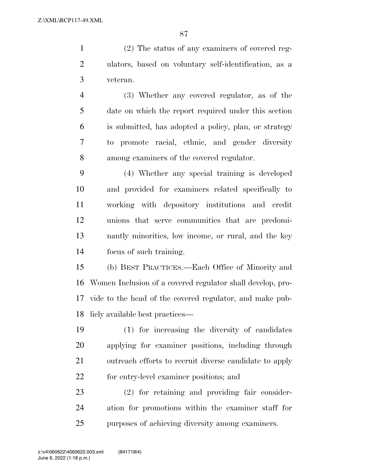(2) The status of any examiners of covered reg- ulators, based on voluntary self-identification, as a veteran.

 (3) Whether any covered regulator, as of the date on which the report required under this section is submitted, has adopted a policy, plan, or strategy to promote racial, ethnic, and gender diversity among examiners of the covered regulator.

 (4) Whether any special training is developed and provided for examiners related specifically to working with depository institutions and credit unions that serve communities that are predomi- nantly minorities, low income, or rural, and the key focus of such training.

 (b) BEST PRACTICES.—Each Office of Minority and Women Inclusion of a covered regulator shall develop, pro- vide to the head of the covered regulator, and make pub-licly available best practices—

 (1) for increasing the diversity of candidates applying for examiner positions, including through outreach efforts to recruit diverse candidate to apply for entry-level examiner positions; and

 (2) for retaining and providing fair consider- ation for promotions within the examiner staff for purposes of achieving diversity among examiners.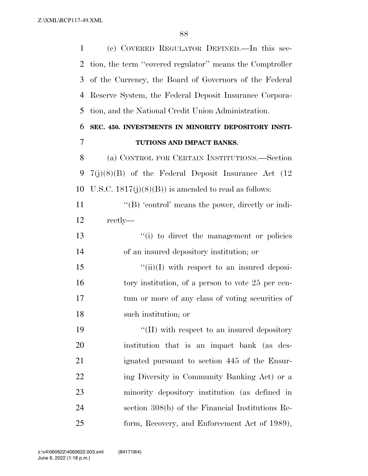(c) COVERED REGULATOR DEFINED.—In this sec- tion, the term ''covered regulator'' means the Comptroller of the Currency, the Board of Governors of the Federal Reserve System, the Federal Deposit Insurance Corpora- tion, and the National Credit Union Administration. **SEC. 450. INVESTMENTS IN MINORITY DEPOSITORY INSTI- TUTIONS AND IMPACT BANKS.**  (a) CONTROL FOR CERTAIN INSTITUTIONS.—Section 7(j)(8)(B) of the Federal Deposit Insurance Act (12 10 U.S.C.  $1817(j)(8)(B)$  is amended to read as follows:  $\langle G \rangle$  'control' means the power, directly or indi- rectly— ''(i) to direct the management or policies of an insured depository institution; or  $\frac{15}{\sin(1)}$  with respect to an insured deposi-16 tory institution, of a person to vote 25 per cen- tum or more of any class of voting securities of such institution; or  $\frac{1}{2}$  (II) with respect to an insured depository institution that is an impact bank (as des- ignated pursuant to section 445 of the Ensur-22 ing Diversity in Community Banking Act) or a minority depository institution (as defined in section 308(b) of the Financial Institutions Re-form, Recovery, and Enforcement Act of 1989),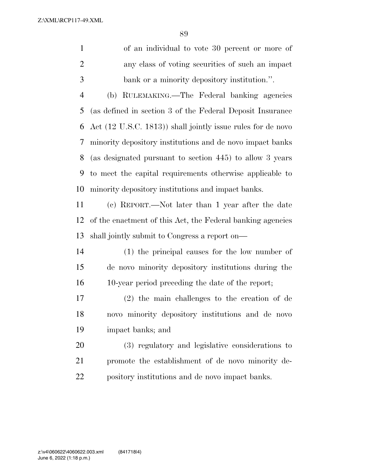Z:\XML\RCP117-49.XML

| $\mathbf{1}$   | of an individual to vote 30 percent or more of                |
|----------------|---------------------------------------------------------------|
| 2              | any class of voting securities of such an impact              |
| 3              | bank or a minority depository institution.".                  |
| 4              | (b) RULEMAKING.—The Federal banking agencies                  |
|                | 5 (as defined in section 3 of the Federal Deposit Insurance   |
|                | 6 Act (12 U.S.C. 1813)) shall jointly issue rules for de novo |
| 7 <sup>7</sup> | minority depository institutions and de novo impact banks     |
| 8              | (as designated pursuant to section 445) to allow 3 years      |
| 9              | to meet the capital requirements otherwise applicable to      |
| 10             | minority depository institutions and impact banks.            |
| 11             | (c) REPORT.—Not later than 1 year after the date              |

 of the enactment of this Act, the Federal banking agencies shall jointly submit to Congress a report on—

 (1) the principal causes for the low number of de novo minority depository institutions during the 10-year period preceding the date of the report;

 (2) the main challenges to the creation of de novo minority depository institutions and de novo impact banks; and

 (3) regulatory and legislative considerations to promote the establishment of de novo minority de-pository institutions and de novo impact banks.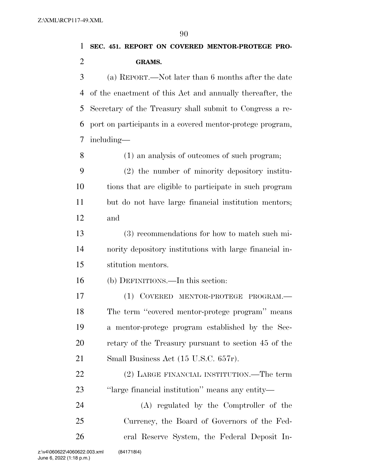## **SEC. 451. REPORT ON COVERED MENTOR-PROTEGE PRO-GRAMS.**

 (a) REPORT.—Not later than 6 months after the date of the enactment of this Act and annually thereafter, the Secretary of the Treasury shall submit to Congress a re- port on participants in a covered mentor-protege program, including—

(1) an analysis of outcomes of such program;

 (2) the number of minority depository institu- tions that are eligible to participate in such program but do not have large financial institution mentors; and

 (3) recommendations for how to match such mi- nority depository institutions with large financial in-stitution mentors.

(b) DEFINITIONS.—In this section:

 (1) COVERED MENTOR-PROTEGE PROGRAM.— The term ''covered mentor-protege program'' means a mentor-protege program established by the Sec- retary of the Treasury pursuant to section 45 of the 21 Small Business Act (15 U.S.C. 657r).

22 (2) LARGE FINANCIAL INSTITUTION.—The term ''large financial institution'' means any entity—

 (A) regulated by the Comptroller of the Currency, the Board of Governors of the Fed-eral Reserve System, the Federal Deposit In-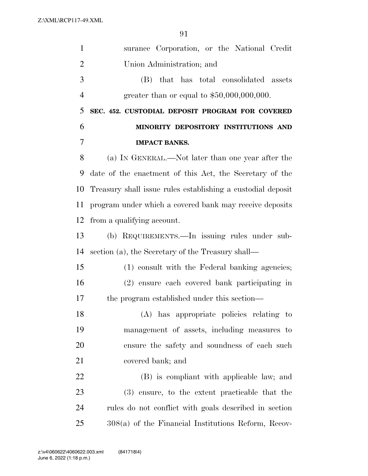| $\mathbf{1}$   | surance Corporation, or the National Credit                 |
|----------------|-------------------------------------------------------------|
| $\overline{2}$ | Union Administration; and                                   |
| 3              | (B) that has total consolidated assets                      |
| $\overline{4}$ | greater than or equal to $$50,000,000,000$ .                |
| 5              | SEC. 452. CUSTODIAL DEPOSIT PROGRAM FOR COVERED             |
| 6              | MINORITY DEPOSITORY INSTITUTIONS AND                        |
| $\overline{7}$ | <b>IMPACT BANKS.</b>                                        |
| 8              | (a) IN GENERAL.—Not later than one year after the           |
| 9              | date of the enactment of this Act, the Secretary of the     |
| 10             | Treasury shall issue rules establishing a custodial deposit |
| 11             | program under which a covered bank may receive deposits     |
| 12             | from a qualifying account.                                  |
| 13             | (b) REQUIREMENTS.—In issuing rules under sub-               |
| 14             | section (a), the Secretary of the Treasury shall—           |
| 15             | (1) consult with the Federal banking agencies;              |
| 16             | (2) ensure each covered bank participating in               |
| 17             | the program established under this section—                 |
| 18             | (A) has appropriate policies relating to                    |
| 19             | management of assets, including measures to                 |
| 20             | ensure the safety and soundness of each such                |
| 21             | covered bank; and                                           |
| 22             | (B) is compliant with applicable law; and                   |
| 23             | (3) ensure, to the extent practicable that the              |
| 24             | rules do not conflict with goals described in section       |
| 25             | $308(a)$ of the Financial Institutions Reform, Recov-       |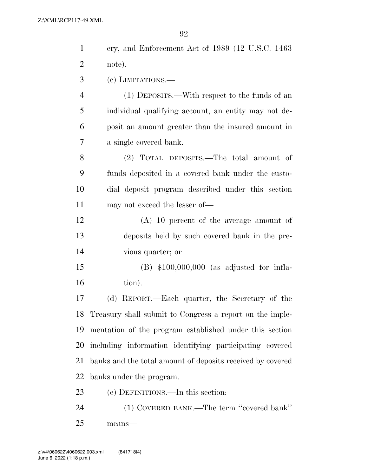| $\mathbf{1}$   | ery, and Enforcement Act of 1989 (12 U.S.C. 1463)          |
|----------------|------------------------------------------------------------|
| $\overline{2}$ | note).                                                     |
| 3              | $(e)$ LIMITATIONS.—                                        |
| $\overline{4}$ | (1) DEPOSITS.—With respect to the funds of an              |
| 5              | individual qualifying account, an entity may not de-       |
| 6              | posit an amount greater than the insured amount in         |
| 7              | a single covered bank.                                     |
| 8              | (2) TOTAL DEPOSITS.—The total amount of                    |
| 9              | funds deposited in a covered bank under the custo-         |
| 10             | dial deposit program described under this section          |
| 11             | may not exceed the lesser of—                              |
| 12             | $(A)$ 10 percent of the average amount of                  |
| 13             | deposits held by such covered bank in the pre-             |
| 14             | vious quarter; or                                          |
| 15             | $(B)$ \$100,000,000 (as adjusted for infla-                |
| 16             | tion).                                                     |
| 17             | REPORT.—Each quarter, the Secretary of the<br>(d)          |
| 18             | Treasury shall submit to Congress a report on the imple-   |
| 19             | mentation of the program established under this section    |
| 20             | including information identifying participating covered    |
| 21             | banks and the total amount of deposits received by covered |
| 22             | banks under the program.                                   |
| 23             | (e) DEFINITIONS.—In this section:                          |
| 24             | (1) COVERED BANK.—The term "covered bank"                  |
| 25             | means-                                                     |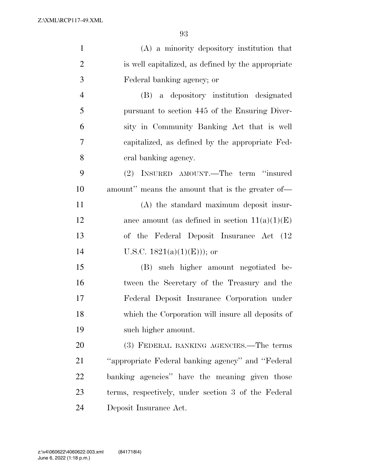| $\mathbf{1}$   | $(A)$ a minority depository institution that        |
|----------------|-----------------------------------------------------|
| $\overline{2}$ | is well capitalized, as defined by the appropriate  |
| 3              | Federal banking agency; or                          |
| $\overline{4}$ | (B) a depository institution designated             |
| 5              | pursuant to section 445 of the Ensuring Diver-      |
| 6              | sity in Community Banking Act that is well          |
| 7              | capitalized, as defined by the appropriate Fed-     |
| 8              | eral banking agency.                                |
| 9              | (2) INSURED AMOUNT.—The term "insured               |
| 10             | amount" means the amount that is the greater of-    |
| 11             | (A) the standard maximum deposit insur-             |
| 12             | ance amount (as defined in section $11(a)(1)(E)$ )  |
| 13             | of the Federal Deposit Insurance Act (12)           |
| 14             | U.S.C. $1821(a)(1)(E))$ ; or                        |
| 15             | (B) such higher amount negotiated be-               |
| 16             | tween the Secretary of the Treasury and the         |
| 17             | Federal Deposit Insurance Corporation under         |
| 18             | which the Corporation will insure all deposits of   |
| 19             | such higher amount.                                 |
| 20             | (3) FEDERAL BANKING AGENCIES.—The terms             |
| 21             | "appropriate Federal banking agency" and "Federal"  |
| 22             | banking agencies" have the meaning given those      |
| 23             | terms, respectively, under section 3 of the Federal |
| 24             | Deposit Insurance Act.                              |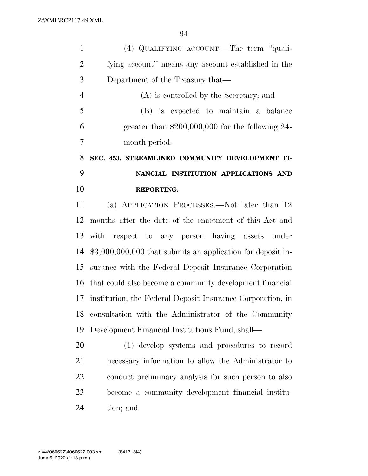| $\mathbf{1}$   | (4) QUALIFYING ACCOUNT.—The term "quali-                     |
|----------------|--------------------------------------------------------------|
| $\overline{2}$ | fying account" means any account established in the          |
| 3              | Department of the Treasury that—                             |
| $\overline{4}$ | (A) is controlled by the Secretary; and                      |
| 5              | (B) is expected to maintain a balance                        |
| 6              | greater than $$200,000,000$ for the following 24-            |
| 7              | month period.                                                |
| 8              | SEC. 453. STREAMLINED COMMUNITY DEVELOPMENT FI-              |
| 9              | NANCIAL INSTITUTION APPLICATIONS AND                         |
| 10             | REPORTING.                                                   |
| 11             | (a) APPLICATION PROCESSES.—Not later than 12                 |
| 12             | months after the date of the enactment of this Act and       |
| 13             | with respect to any person having assets under               |
| 14             | $$3,000,000,000$ that submits an application for deposit in- |
| 15             | surance with the Federal Deposit Insurance Corporation       |
| 16             | that could also become a community development financial     |
| 17             | institution, the Federal Deposit Insurance Corporation, in   |
| 18             | consultation with the Administrator of the Community         |
| 19             | Development Financial Institutions Fund, shall—              |
| 20             | (1) develop systems and procedures to record                 |
| 21             | necessary information to allow the Administrator to          |
| 22             | conduct preliminary analysis for such person to also         |
| 23             | become a community development financial institu-            |

tion; and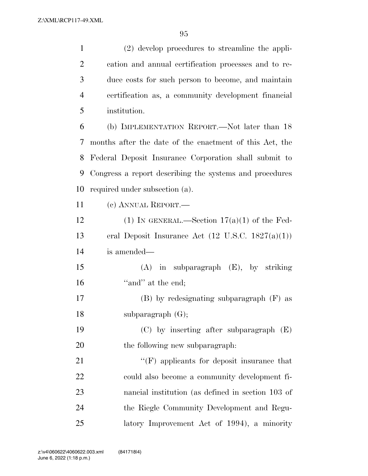| $\mathbf{1}$   | (2) develop procedures to streamline the appli-              |
|----------------|--------------------------------------------------------------|
| $\overline{2}$ | cation and annual certification processes and to re-         |
| 3              | duce costs for such person to become, and maintain           |
| $\overline{4}$ | certification as, a community development financial          |
| 5              | institution.                                                 |
| 6              | (b) IMPLEMENTATION REPORT.—Not later than 18                 |
| 7              | months after the date of the enactment of this Act, the      |
| 8              | Federal Deposit Insurance Corporation shall submit to        |
| 9              | Congress a report describing the systems and procedures      |
| 10             | required under subsection (a).                               |
| 11             | (c) ANNUAL REPORT.—                                          |
| 12             | (1) IN GENERAL.—Section $17(a)(1)$ of the Fed-               |
| 13             | eral Deposit Insurance Act $(12 \text{ U.S.C. } 1827(a)(1))$ |
| 14             | is amended—                                                  |
| 15             | $(A)$ in subparagraph $(E)$ , by striking                    |
| 16             | "and" at the end;                                            |
| 17             | $(B)$ by redesignating subparagraph $(F)$ as                 |
| 18             | subparagraph (G);                                            |
| 19             | $(C)$ by inserting after subparagraph $(E)$                  |
| 20             | the following new subparagraph.                              |
| 21             | $``(F)$ applicants for deposit insurance that                |
| 22             | could also become a community development fi-                |
| 23             | nancial institution (as defined in section 103 of            |
| 24             | the Riegle Community Development and Regu-                   |
| 25             | latory Improvement Act of 1994), a minority                  |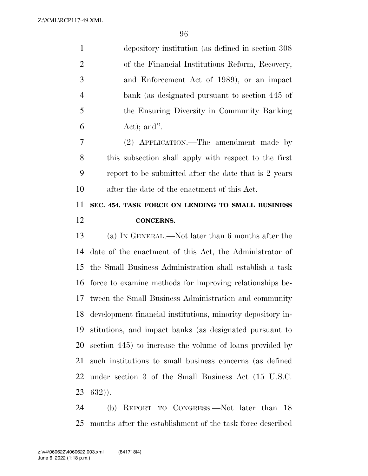| 1              | depository institution (as defined in section 308)    |
|----------------|-------------------------------------------------------|
| 2              | of the Financial Institutions Reform, Recovery,       |
| 3              | and Enforcement Act of 1989), or an impact            |
| $\overline{4}$ | bank (as designated pursuant to section 445 of        |
| 5              | the Ensuring Diversity in Community Banking           |
| 6              | $Act)$ ; and".                                        |
| 7              | (2) APPLICATION.—The amendment made by                |
| 8              | this subsection shall apply with respect to the first |
| 9              | report to be submitted after the date that is 2 years |
| 10             | after the date of the enactment of this Act.          |
| 11             | SEC. 454. TASK FORCE ON LENDING TO SMALL BUSINESS     |
| 12             | <b>CONCERNS.</b>                                      |

 (a) IN GENERAL.—Not later than 6 months after the date of the enactment of this Act, the Administrator of the Small Business Administration shall establish a task force to examine methods for improving relationships be- tween the Small Business Administration and community development financial institutions, minority depository in- stitutions, and impact banks (as designated pursuant to section 445) to increase the volume of loans provided by such institutions to small business concerns (as defined under section 3 of the Small Business Act (15 U.S.C. 632)).

 (b) REPORT TO CONGRESS.—Not later than 18 months after the establishment of the task force described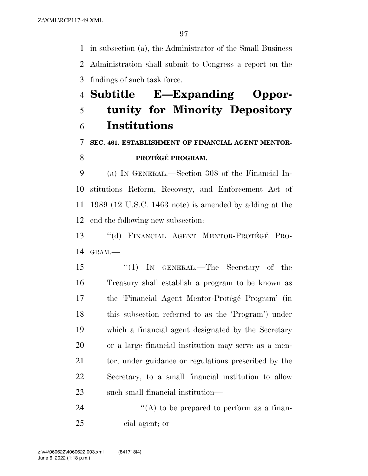in subsection (a), the Administrator of the Small Business Administration shall submit to Congress a report on the findings of such task force.

# **Subtitle E—Expanding Oppor- tunity for Minority Depository Institutions**

**SEC. 461. ESTABLISHMENT OF FINANCIAL AGENT MENTOR-**

#### **PROTÉGÉ PROGRAM.**

 (a) IN GENERAL.—Section 308 of the Financial In- stitutions Reform, Recovery, and Enforcement Act of 1989 (12 U.S.C. 1463 note) is amended by adding at the end the following new subsection:

13 "(d) FINANCIAL AGENT MENTOR-PROTÉGÉ PRO-GRAM.—

 ''(1) IN GENERAL.—The Secretary of the Treasury shall establish a program to be known as 17 the 'Financial Agent Mentor-Protégé Program' (in this subsection referred to as the 'Program') under which a financial agent designated by the Secretary or a large financial institution may serve as a men-21 tor, under guidance or regulations prescribed by the Secretary, to a small financial institution to allow such small financial institution—

24  $\langle (A) \rangle$  to be prepared to perform as a finan-cial agent; or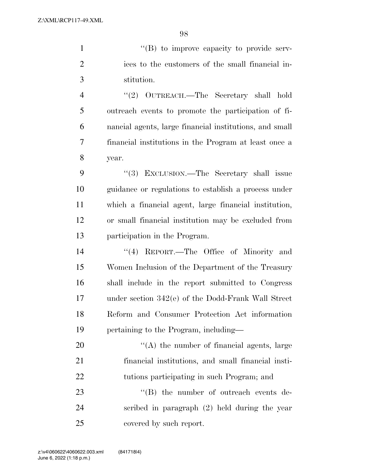1  $\langle$  (B) to improve capacity to provide serv- ices to the customers of the small financial in-stitution.

 ''(2) OUTREACH.—The Secretary shall hold outreach events to promote the participation of fi- nancial agents, large financial institutions, and small financial institutions in the Program at least once a year.

9 "(3) EXCLUSION.—The Secretary shall issue guidance or regulations to establish a process under which a financial agent, large financial institution, or small financial institution may be excluded from participation in the Program.

14 ''(4) REPORT.—The Office of Minority and Women Inclusion of the Department of the Treasury shall include in the report submitted to Congress under section 342(e) of the Dodd-Frank Wall Street Reform and Consumer Protection Act information pertaining to the Program, including—

 $\mathcal{L}(A)$  the number of financial agents, large financial institutions, and small financial insti-tutions participating in such Program; and

23  $\text{``(B)}$  the number of outreach events de- scribed in paragraph (2) held during the year covered by such report.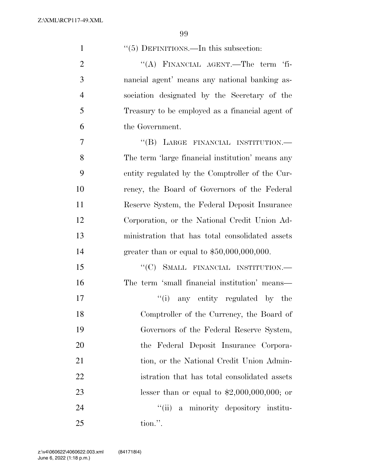Z:\XML\RCP117-49.XML

| $\mathbf{1}$   | $\lq(5)$ DEFINITIONS.—In this subsection:        |
|----------------|--------------------------------------------------|
| $\overline{2}$ | "(A) FINANCIAL AGENT.—The term 'fi-              |
| 3              | nancial agent' means any national banking as-    |
| $\overline{4}$ | sociation designated by the Secretary of the     |
| 5              | Treasury to be employed as a financial agent of  |
| 6              | the Government.                                  |
| 7              | "(B) LARGE FINANCIAL INSTITUTION.—               |
| 8              | The term 'large financial institution' means any |
| 9              | entity regulated by the Comptroller of the Cur-  |
| 10             | rency, the Board of Governors of the Federal     |
| 11             | Reserve System, the Federal Deposit Insurance    |
| 12             | Corporation, or the National Credit Union Ad-    |
| 13             | ministration that has total consolidated assets  |
| 14             | greater than or equal to $$50,000,000,000$ .     |
| 15             | "(C) SMALL FINANCIAL INSTITUTION.—               |
| 16             | The term 'small financial institution' means—    |
| 17             | "(i) any entity regulated by the                 |
| 18             | Comptroller of the Currency, the Board of        |
| 19             | Governors of the Federal Reserve System,         |
| 20             | the Federal Deposit Insurance Corpora-           |
| 21             | tion, or the National Credit Union Admin-        |
| 22             | istration that has total consolidated assets     |
| 23             | lesser than or equal to $$2,000,000,000;$ or     |
| 24             | a minority depository institu-<br>``(ii)         |
| 25             | tion.".                                          |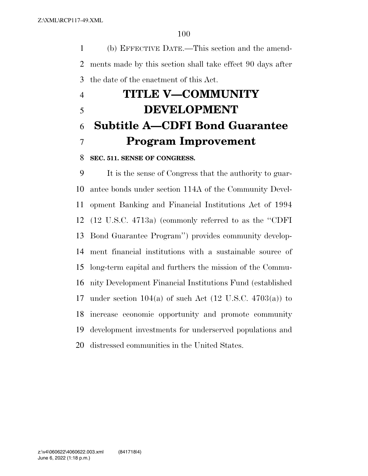(b) EFFECTIVE DATE.—This section and the amend- ments made by this section shall take effect 90 days after the date of the enactment of this Act.

# **TITLE V—COMMUNITY DEVELOPMENT Subtitle A—CDFI Bond Guarantee Program Improvement**

#### **SEC. 511. SENSE OF CONGRESS.**

 It is the sense of Congress that the authority to guar- antee bonds under section 114A of the Community Devel- opment Banking and Financial Institutions Act of 1994 (12 U.S.C. 4713a) (commonly referred to as the ''CDFI Bond Guarantee Program'') provides community develop- ment financial institutions with a sustainable source of long-term capital and furthers the mission of the Commu- nity Development Financial Institutions Fund (established 17 under section  $104(a)$  of such Act  $(12 \text{ U.S.C. } 4703(a))$  to increase economic opportunity and promote community development investments for underserved populations and distressed communities in the United States.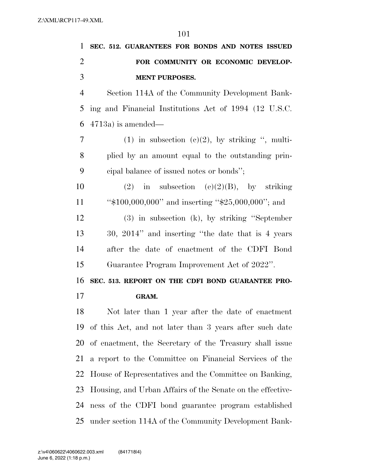|                             | 1 SEC. 512. GUARANTEES FOR BONDS AND NOTES ISSUED |
|-----------------------------|---------------------------------------------------|
| $\mathcal{D}_{\mathcal{L}}$ | FOR COMMUNITY OR ECONOMIC DEVELOP-                |
| $\mathcal{R}$               | <b>MENT PURPOSES.</b>                             |
| $\overline{4}$              | Section 114A of the Community Development Bank-   |

 ing and Financial Institutions Act of 1994 (12 U.S.C. 4713a) is amended—

7 (1) in subsection  $(e)(2)$ , by striking ", multi- plied by an amount equal to the outstanding prin-cipal balance of issued notes or bonds'';

10 (2) in subsection (e)(2)(B), by striking 11 "\$100,000,000" and inserting "\$25,000,000"; and

 (3) in subsection (k), by striking ''September 30, 2014'' and inserting ''the date that is 4 years after the date of enactment of the CDFI Bond Guarantee Program Improvement Act of 2022''.

**SEC. 513. REPORT ON THE CDFI BOND GUARANTEE PRO-**

#### **GRAM.**

 Not later than 1 year after the date of enactment of this Act, and not later than 3 years after such date of enactment, the Secretary of the Treasury shall issue a report to the Committee on Financial Services of the House of Representatives and the Committee on Banking, Housing, and Urban Affairs of the Senate on the effective- ness of the CDFI bond guarantee program established under section 114A of the Community Development Bank-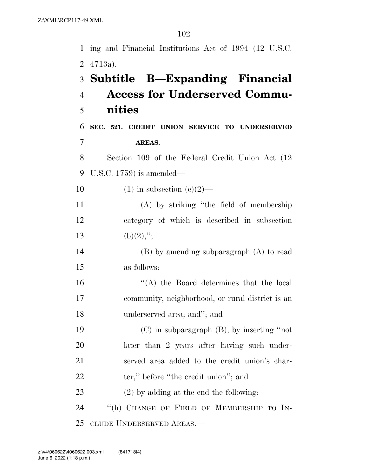|                | 1 ing and Financial Institutions Act of 1994 (12 U.S.C. |
|----------------|---------------------------------------------------------|
| 2              | $4713a$ ).                                              |
|                | 3 Subtitle B—Expanding Financial                        |
| $\overline{4}$ | <b>Access for Underserved Commu-</b>                    |
| 5              | nities                                                  |
| 6              | SEC. 521. CREDIT UNION SERVICE TO UNDERSERVED           |
| $\overline{7}$ | AREAS.                                                  |
| 8              | Section 109 of the Federal Credit Union Act (12)        |
| 9              | U.S.C. $1759$ is amended—                               |
| 10             | $(1)$ in subsection $(e)(2)$ —                          |
| <sup>11</sup>  | (A) by striking "the field of membership                |
| 12             | category of which is described in subsection            |
| 13             | $(b)(2)$ ,";                                            |
| 14             | $(B)$ by amending subparagraph $(A)$ to read            |
| 15             | as follows:                                             |
| 16             | "(A) the Board determines that the local                |
| 17             | community, neighborhood, or rural district is an        |
| 18             | underserved area; and"; and                             |
| 19             | $(C)$ in subparagraph $(B)$ , by inserting "not         |
| 20             | later than 2 years after having such under-             |
| 21             | served area added to the credit union's char-           |
| 22             | ter," before "the credit union"; and                    |
| 23             | $(2)$ by adding at the end the following:               |
| 24             | "(h) CHANGE OF FIELD OF MEMBERSHIP TO IN-               |
| 25             | CLUDE UNDERSERVED AREAS.—                               |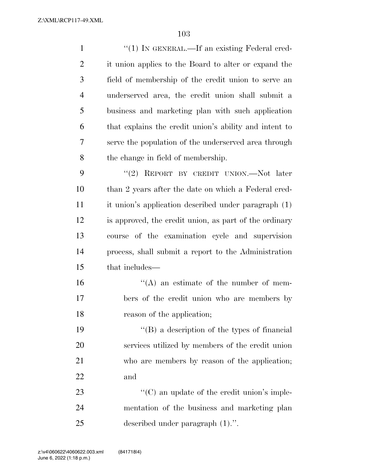Z:\XML\RCP117-49.XML

| $\mathbf{1}$   | "(1) IN GENERAL.—If an existing Federal cred-          |
|----------------|--------------------------------------------------------|
| $\overline{2}$ | it union applies to the Board to alter or expand the   |
| 3              | field of membership of the credit union to serve an    |
| $\overline{4}$ | underserved area, the credit union shall submit a      |
| 5              | business and marketing plan with such application      |
| 6              | that explains the credit union's ability and intent to |
| 7              | serve the population of the underserved area through   |
| 8              | the change in field of membership.                     |
| 9              | "(2) REPORT BY CREDIT UNION.—Not later                 |
| 10             | than 2 years after the date on which a Federal cred-   |
| 11             | it union's application described under paragraph (1)   |
| 12             | is approved, the credit union, as part of the ordinary |
| 13             | course of the examination cycle and supervision        |
| 14             | process, shall submit a report to the Administration   |
| 15             | that includes—                                         |
| 16             | $\lq\lq$ an estimate of the number of mem-             |
| 17             | bers of the credit union who are members by            |
| 18             | reason of the application;                             |
| 19             | "(B) a description of the types of financial           |
| 20             | services utilized by members of the credit union       |
| 21             | who are members by reason of the application;          |
| 22             | and                                                    |
| 23             | $\lq\lq$ (C) an update of the credit union's imple-    |
| 24             | mentation of the business and marketing plan           |
| 25             | described under paragraph $(1)$ .".                    |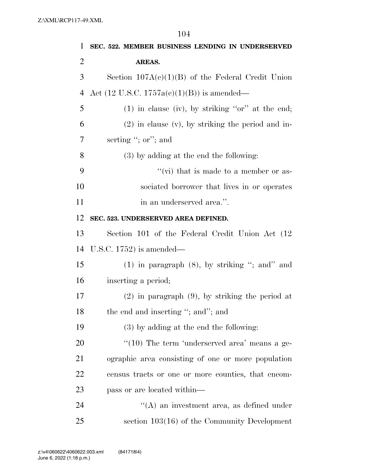|    | 104                                                    |
|----|--------------------------------------------------------|
| 1  | SEC. 522. MEMBER BUSINESS LENDING IN UNDERSERVED       |
| 2  | AREAS.                                                 |
| 3  | Section $107A(c)(1)(B)$ of the Federal Credit Union    |
| 4  | Act $(12 \text{ U.S.C. } 1757a(c)(1)(B))$ is amended—  |
| 5  | $(1)$ in clause (iv), by striking "or" at the end;     |
| 6  | $(2)$ in clause $(v)$ , by striking the period and in- |
| 7  | serting "; or"; and                                    |
| 8  | $(3)$ by adding at the end the following:              |
| 9  | "(vi) that is made to a member or as-                  |
| 10 | sociated borrower that lives in or operates            |
| 11 | in an underserved area.".                              |
| 12 | SEC. 523. UNDERSERVED AREA DEFINED.                    |
| 13 | Section 101 of the Federal Credit Union Act (12)       |
| 14 | U.S.C. $1752$ ) is amended—                            |
| 15 | $(1)$ in paragraph $(8)$ , by striking "; and" and     |
| 16 | inserting a period;                                    |
| 17 | $(2)$ in paragraph $(9)$ , by striking the period at   |
| 18 | the end and inserting "; and"; and                     |
| 19 | $(3)$ by adding at the end the following:              |
| 20 | " $(10)$ The term 'underserved area' means a ge-       |
| 21 | ographic area consisting of one or more population     |
| 22 | census tracts or one or more counties, that encom-     |
| 23 | pass or are located within—                            |
| 24 | $\lq\lq$ an investment area, as defined under          |
| 25 | section $103(16)$ of the Community Development         |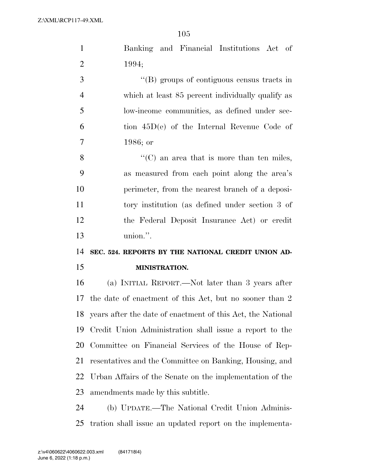| $\mathbf{1}$   | Banking and Financial Institutions Act of                   |
|----------------|-------------------------------------------------------------|
| $\overline{2}$ | 1994;                                                       |
| 3              | $\lq\lq$ (B) groups of contiguous census tracts in          |
| $\overline{4}$ | which at least 85 percent individually qualify as           |
| 5              | low-income communities, as defined under sec-               |
| 6              | tion $45D(e)$ of the Internal Revenue Code of               |
| $\overline{7}$ | $1986;$ or                                                  |
| 8              | $\lq\lq$ (C) an area that is more than ten miles,           |
| 9              | as measured from each point along the area's                |
| 10             | perimeter, from the nearest branch of a deposi-             |
| 11             | tory institution (as defined under section 3 of             |
| 12             | the Federal Deposit Insurance Act) or credit                |
|                | union.".                                                    |
| 13             |                                                             |
| 14             | SEC. 524. REPORTS BY THE NATIONAL CREDIT UNION AD-          |
| 15             | MINISTRATION.                                               |
| 16             | (a) INITIAL REPORT.—Not later than 3 years after            |
| 17             | the date of enactment of this Act, but no sooner than 2     |
| 18             | years after the date of enactment of this Act, the National |
| 19             | Credit Union Administration shall issue a report to the     |
| 20             | Committee on Financial Services of the House of Rep-        |
| 21             | resentatives and the Committee on Banking, Housing, and     |
| 22             | Urban Affairs of the Senate on the implementation of the    |
| 23             | amendments made by this subtitle.                           |
| 24             | (b) UPDATE.—The National Credit Union Adminis-              |